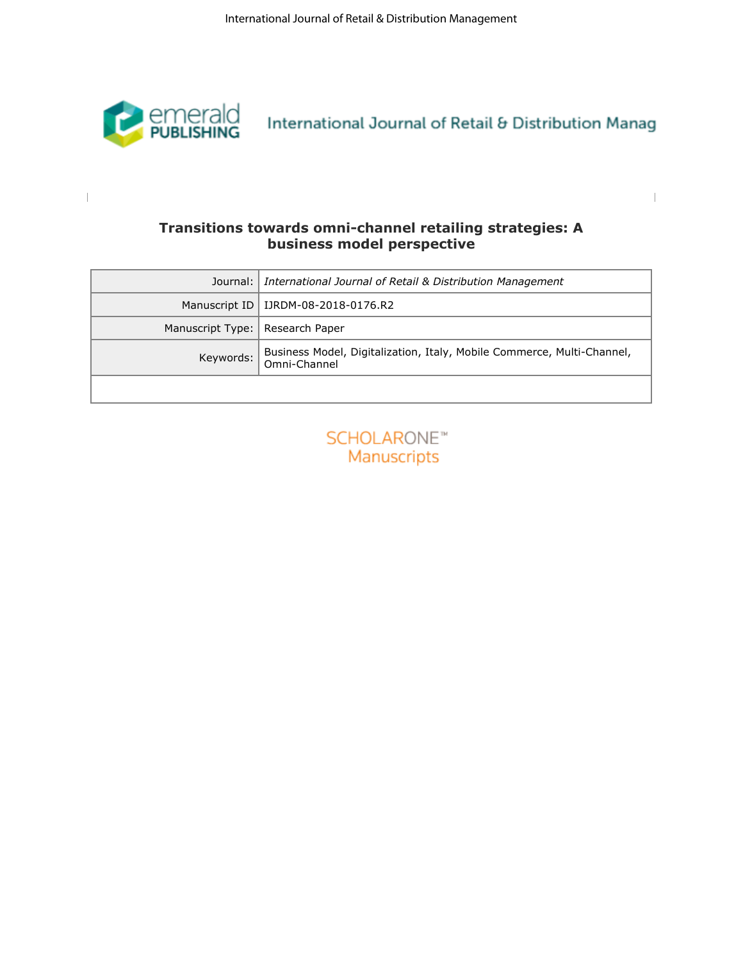

# **business model perspective**

|                       | International Journal of Retail & Distribution Management                              |
|-----------------------|----------------------------------------------------------------------------------------|
| emerald<br>PUBLISHING | International Journal of Retail & Distribution Manag                                   |
|                       | Transitions towards omni-channel retailing strategies: A<br>business model perspective |
| Journal:              | International Journal of Retail & Distribution Management                              |
|                       | Manuscript ID   IJRDM-08-2018-0176.R2                                                  |
| Manuscript Type:      | Research Paper                                                                         |
| Keywords:             | Business Model, Digitalization, Italy, Mobile Commerce, Multi-Channel,<br>Omni-Channel |
|                       |                                                                                        |
|                       | <b>SCHOLARONE™</b><br>Manuscripts                                                      |
|                       |                                                                                        |
|                       |                                                                                        |
|                       |                                                                                        |
|                       |                                                                                        |
|                       |                                                                                        |
|                       |                                                                                        |
|                       |                                                                                        |
|                       |                                                                                        |
|                       |                                                                                        |
|                       |                                                                                        |
|                       |                                                                                        |
|                       |                                                                                        |
|                       |                                                                                        |
|                       |                                                                                        |
|                       |                                                                                        |
|                       |                                                                                        |
|                       |                                                                                        |

| SCHOLARONE <sup>*</sup> |                    |  |  |
|-------------------------|--------------------|--|--|
|                         | <b>Manuscripts</b> |  |  |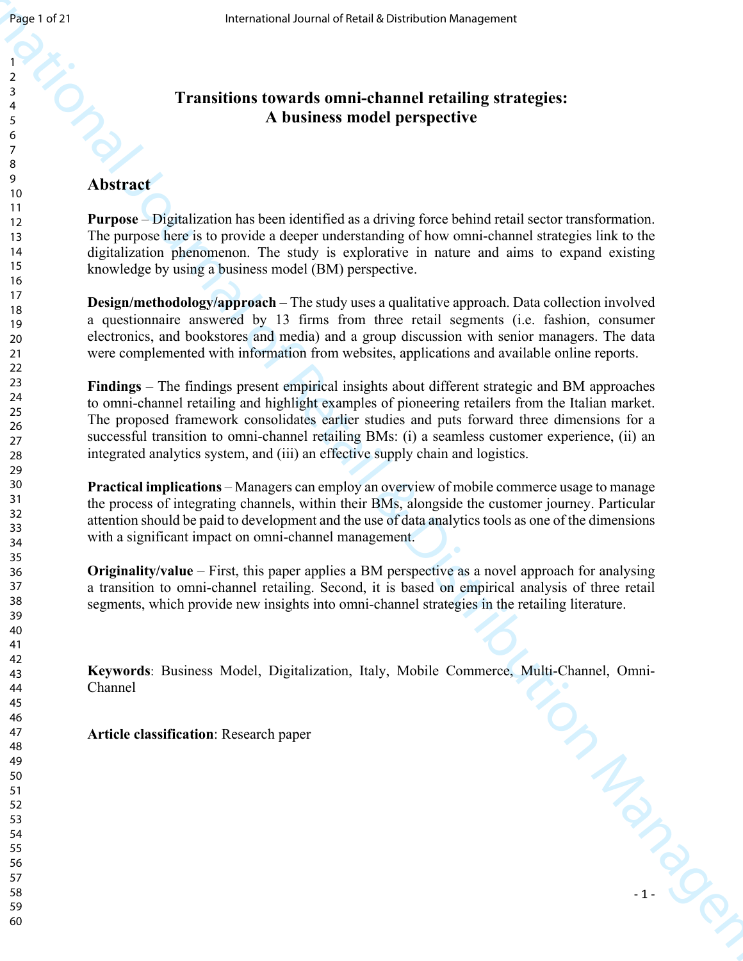# **Transitions towards omni-channel retailing strategies: A business model perspective**

## **Abstract**

**Purpose** – Digitalization has been identified as a driving force behind retail sector transformation. The purpose here is to provide a deeper understanding of how omni-channel strategies link to the digitalization phenomenon. The study is explorative in nature and aims to expand existing knowledge by using a business model (BM) perspective.

**Design/methodology/approach** – The study uses a qualitative approach. Data collection involved a questionnaire answered by 13 firms from three retail segments (i.e. fashion, consumer electronics, and bookstores and media) and a group discussion with senior managers. The data were complemented with information from websites, applications and available online reports.

Internation Journal of Results Sterhards Warspace<br>
1 Trunshibuts Governs contain derivative Straitering strategies:<br>
1 Trunshibuts Governs contained perceptricity<br>
A business model perceptricity<br>
1 A business model percep **Findings** – The findings present empirical insights about different strategic and BM approaches to omni-channel retailing and highlight examples of pioneering retailers from the Italian market. The proposed framework consolidates earlier studies and puts forward three dimensions for a successful transition to omni-channel retailing BMs: (i) a seamless customer experience, (ii) an integrated analytics system, and (iii) an effective supply chain and logistics.

**Practical implications** – Managers can employ an overview of mobile commerce usage to manage the process of integrating channels, within their BMs, alongside the customer journey. Particular attention should be paid to development and the use of data analytics tools as one of the dimensions with a significant impact on omni-channel management.

**Originality/value** – First, this paper applies a BM perspective as a novel approach for analysing a transition to omni-channel retailing. Second, it is based on empirical analysis of three retail segments, which provide new insights into omni-channel strategies in the retailing literature.

CINDAD RO **Keywords**: Business Model, Digitalization, Italy, Mobile Commerce, Multi-Channel, Omni-Channel

**Article classification**: Research paper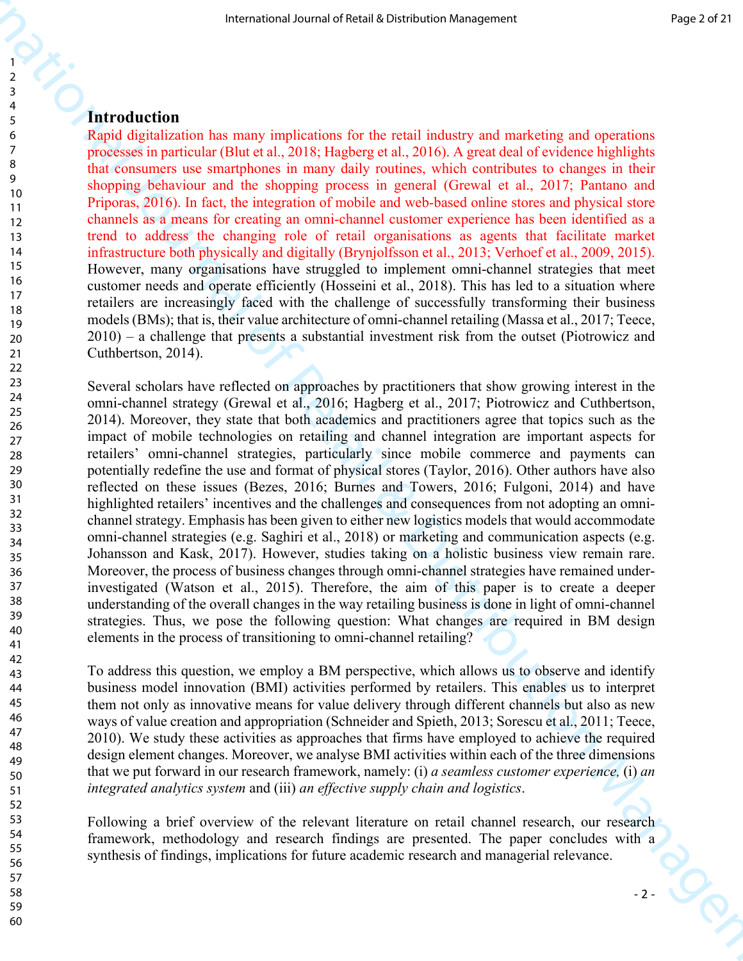## **Introduction**

Rapid digitalization has many implications for the retail industry and marketing and operations processes in particular (Blut et al., 2018; Hagberg et al., 2016). A great deal of evidence highlights that consumers use smartphones in many daily routines, which contributes to changes in their shopping behaviour and the shopping process in general (Grewal et al., 2017; Pantano and Priporas, 2016). In fact, the integration of mobile and web-based online stores and physical store channels as a means for creating an omni-channel customer experience has been identified as a trend to address the changing role of retail organisations as agents that facilitate market infrastructure both physically and digitally (Brynjolfsson et al., 2013; Verhoef et al., 2009, 2015). However, many organisations have struggled to implement omni-channel strategies that meet customer needs and operate efficiently (Hosseini et al., 2018). This has led to a situation where retailers are increasingly faced with the challenge of successfully transforming their business models (BMs); that is, their value architecture of omni-channel retailing (Massa et al., 2017; Teece, 2010) – a challenge that presents a substantial investment risk from the outset (Piotrowicz and Cuthbertson, 2014).

Internation learned the state state measures were also seen as a set of the state measure of the state measure of the state measure of the state measure of the state measure of the state measure of the state measure of th Several scholars have reflected on approaches by practitioners that show growing interest in the omni-channel strategy (Grewal et al., 2016; Hagberg et al., 2017; Piotrowicz and Cuthbertson, 2014). Moreover, they state that both academics and practitioners agree that topics such as the impact of mobile technologies on retailing and channel integration are important aspects for retailers' omni-channel strategies, particularly since mobile commerce and payments can potentially redefine the use and format of physical stores (Taylor, 2016). Other authors have also reflected on these issues (Bezes, 2016; Burnes and Towers, 2016; Fulgoni, 2014) and have highlighted retailers' incentives and the challenges and consequences from not adopting an omnichannel strategy. Emphasis has been given to either new logistics models that would accommodate omni-channel strategies (e.g. Saghiri et al., 2018) or marketing and communication aspects (e.g. Johansson and Kask, 2017). However, studies taking on a holistic business view remain rare. Moreover, the process of business changes through omni-channel strategies have remained underinvestigated (Watson et al., 2015). Therefore, the aim of this paper is to create a deeper understanding of the overall changes in the way retailing business is done in light of omni-channel strategies. Thus, we pose the following question: What changes are required in BM design elements in the process of transitioning to omni-channel retailing?

To address this question, we employ a BM perspective, which allows us to observe and identify business model innovation (BMI) activities performed by retailers. This enables us to interpret them not only as innovative means for value delivery through different channels but also as new ways of value creation and appropriation (Schneider and Spieth, 2013; Sorescu et al., 2011; Teece, 2010). We study these activities as approaches that firms have employed to achieve the required design element changes. Moreover, we analyse BMI activities within each of the three dimensions that we put forward in our research framework, namely: (i) *a seamless customer experience,* (i) *an integrated analytics system* and (iii) *an effective supply chain and logistics*.

 $-2\frac{6}{9}$ Following a brief overview of the relevant literature on retail channel research, our research framework, methodology and research findings are presented. The paper concludes with a synthesis of findings, implications for future academic research and managerial relevance.

> 59 60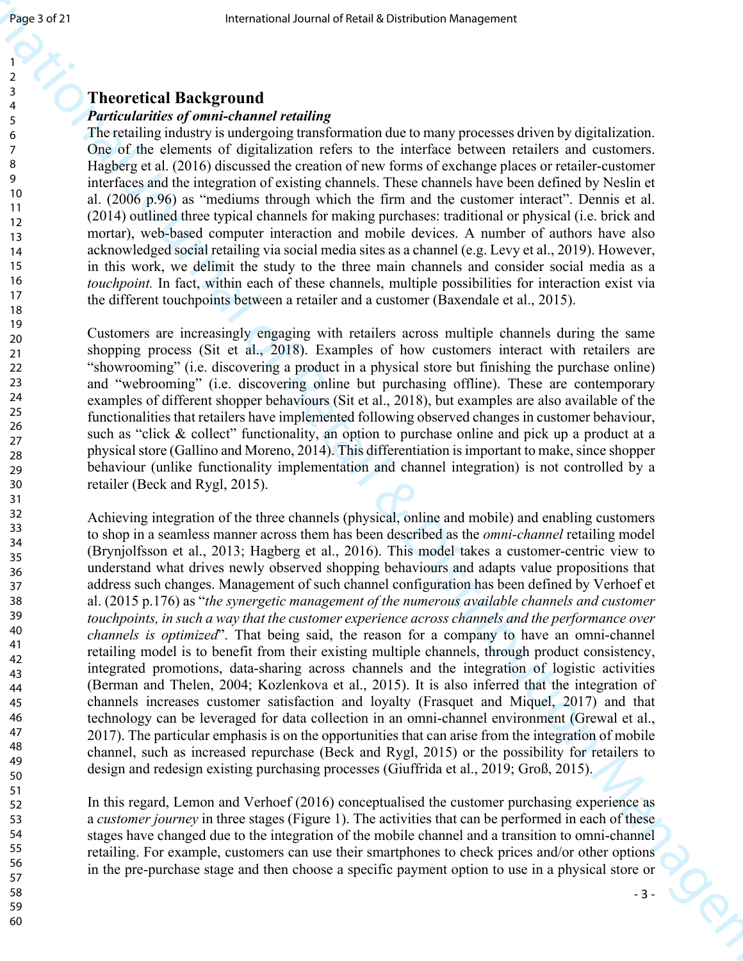## **Theoretical Background**

#### *Particularities of omni-channel retailing*

The retailing industry is undergoing transformation due to many processes driven by digitalization. One of the elements of digitalization refers to the interface between retailers and customers. Hagberg et al. (2016) discussed the creation of new forms of exchange places or retailer-customer interfaces and the integration of existing channels. These channels have been defined by Neslin et al. (2006 p.96) as "mediums through which the firm and the customer interact". Dennis et al. (2014) outlined three typical channels for making purchases: traditional or physical (i.e. brick and mortar), web-based computer interaction and mobile devices. A number of authors have also acknowledged social retailing via social media sites as a channel (e.g. Levy et al., 2019). However, in this work, we delimit the study to the three main channels and consider social media as a *touchpoint*. In fact, within each of these channels, multiple possibilities for interaction exist via the different touchpoints between a retailer and a customer (Baxendale et al., 2015).

Customers are increasingly engaging with retailers across multiple channels during the same shopping process (Sit et al., 2018). Examples of how customers interact with retailers are "showrooming" (i.e. discovering a product in a physical store but finishing the purchase online) and "webrooming" (i.e. discovering online but purchasing offline). These are contemporary examples of different shopper behaviours (Sit et al., 2018), but examples are also available of the functionalities that retailers have implemented following observed changes in customer behaviour, such as "click & collect" functionality, an option to purchase online and pick up a product at a physical store (Gallino and Moreno, 2014). This differentiation is important to make, since shopper behaviour (unlike functionality implementation and channel integration) is not controlled by a retailer (Beck and Rygl, 2015).

**Face 2013**<br> **International development of Results 2018 Determine were associated the management of the statistical development of**  $\alpha$  **Presentation of Results 2018 Determines the statistical of**  $\alpha$  **Presentation Manageme** Achieving integration of the three channels (physical, online and mobile) and enabling customers to shop in a seamless manner across them has been described as the *omni-channel* retailing model (Brynjolfsson et al., 2013; Hagberg et al., 2016). This model takes a customer-centric view to understand what drives newly observed shopping behaviours and adapts value propositions that address such changes. Management of such channel configuration has been defined by Verhoef et al. (2015 p.176) as "*the synergetic management of the numerous available channels and customer touchpoints, in such a way that the customer experience across channels and the performance over channels is optimized*". That being said, the reason for a company to have an omni-channel retailing model is to benefit from their existing multiple channels, through product consistency, integrated promotions, data-sharing across channels and the integration of logistic activities (Berman and Thelen, 2004; Kozlenkova et al., 2015). It is also inferred that the integration of channels increases customer satisfaction and loyalty (Frasquet and Miquel, 2017) and that technology can be leveraged for data collection in an omni-channel environment (Grewal et al., 2017). The particular emphasis is on the opportunities that can arise from the integration of mobile channel, such as increased repurchase (Beck and Rygl, 2015) or the possibility for retailers to design and redesign existing purchasing processes (Giuffrida et al., 2019; Groß, 2015).

In this regard, Lemon and Verhoef (2016) conceptualised the customer purchasing experience as a *customer journey* in three stages (Figure 1). The activities that can be performed in each of these stages have changed due to the integration of the mobile channel and a transition to omni-channel retailing. For example, customers can use their smartphones to check prices and/or other options in the pre-purchase stage and then choose a specific payment option to use in a physical store or

- 3 -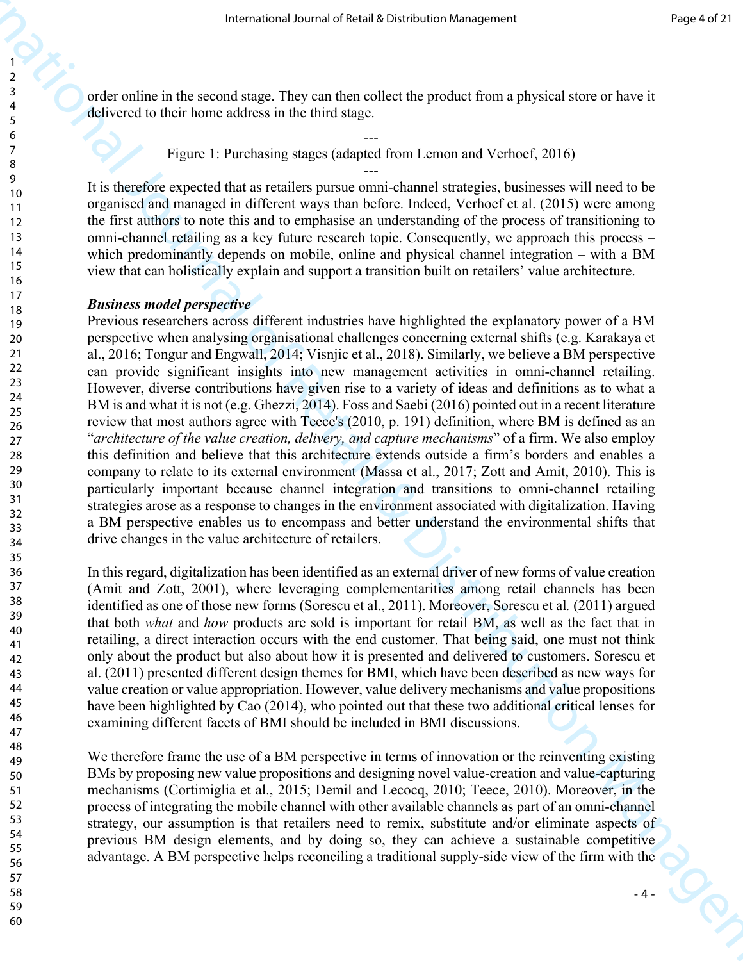order online in the second stage. They can then collect the product from a physical store or have it delivered to their home address in the third stage.

> --- Figure 1: Purchasing stages (adapted from Lemon and Verhoef, 2016)

--- It is therefore expected that as retailers pursue omni-channel strategies, businesses will need to be organised and managed in different ways than before. Indeed, Verhoef et al. (2015) were among the first authors to note this and to emphasise an understanding of the process of transitioning to omni-channel retailing as a key future research topic. Consequently, we approach this process – which predominantly depends on mobile, online and physical channel integration – with a BM view that can holistically explain and support a transition built on retailers' value architecture.

## *Business model perspective*

International Source of Figure 10.12 Attendant Warsansors<br>
2.4 Attendant the behind stage. They can then united the product from a physical state of have it<br>
deletered to the homogeneous state delta distribution Managemen Previous researchers across different industries have highlighted the explanatory power of a BM perspective when analysing organisational challenges concerning external shifts (e.g. Karakaya et al., 2016; Tongur and Engwall, 2014; Visnjic et al., 2018). Similarly, we believe a BM perspective can provide significant insights into new management activities in omni-channel retailing. However, diverse contributions have given rise to a variety of ideas and definitions as to what a BM is and what it is not (e.g. Ghezzi, 2014). Foss and Saebi (2016) pointed out in a recent literature review that most authors agree with Teece's (2010, p. 191) definition, where BM is defined as an "*architecture of the value creation, delivery, and capture mechanisms*" of a firm. We also employ this definition and believe that this architecture extends outside a firm's borders and enables a company to relate to its external environment (Massa et al., 2017; Zott and Amit, 2010). This is particularly important because channel integration and transitions to omni-channel retailing strategies arose as a response to changes in the environment associated with digitalization. Having a BM perspective enables us to encompass and better understand the environmental shifts that drive changes in the value architecture of retailers.

In this regard, digitalization has been identified as an external driver of new forms of value creation (Amit and Zott, 2001), where leveraging complementarities among retail channels has been identified as one of those new forms (Sorescu et al., 2011). Moreover, Sorescu et al*.* (2011) argued that both *what* and *how* products are sold is important for retail BM, as well as the fact that in retailing, a direct interaction occurs with the end customer. That being said, one must not think only about the product but also about how it is presented and delivered to customers. Sorescu et al. (2011) presented different design themes for BMI, which have been described as new ways for value creation or value appropriation. However, value delivery mechanisms and value propositions have been highlighted by Cao (2014), who pointed out that these two additional critical lenses for examining different facets of BMI should be included in BMI discussions.

We therefore frame the use of a BM perspective in terms of innovation or the reinventing existing BMs by proposing new value propositions and designing novel value-creation and value-capturing mechanisms (Cortimiglia et al., 2015; Demil and Lecocq, 2010; Teece, 2010). Moreover, in the process of integrating the mobile channel with other available channels as part of an omni-channel strategy, our assumption is that retailers need to remix, substitute and/or eliminate aspects of previous BM design elements, and by doing so, they can achieve a sustainable competitive advantage. A BM perspective helps reconciling a traditional supply-side view of the firm with the  $\sim$  -4 -

59 60

1 2

 $- 4 -$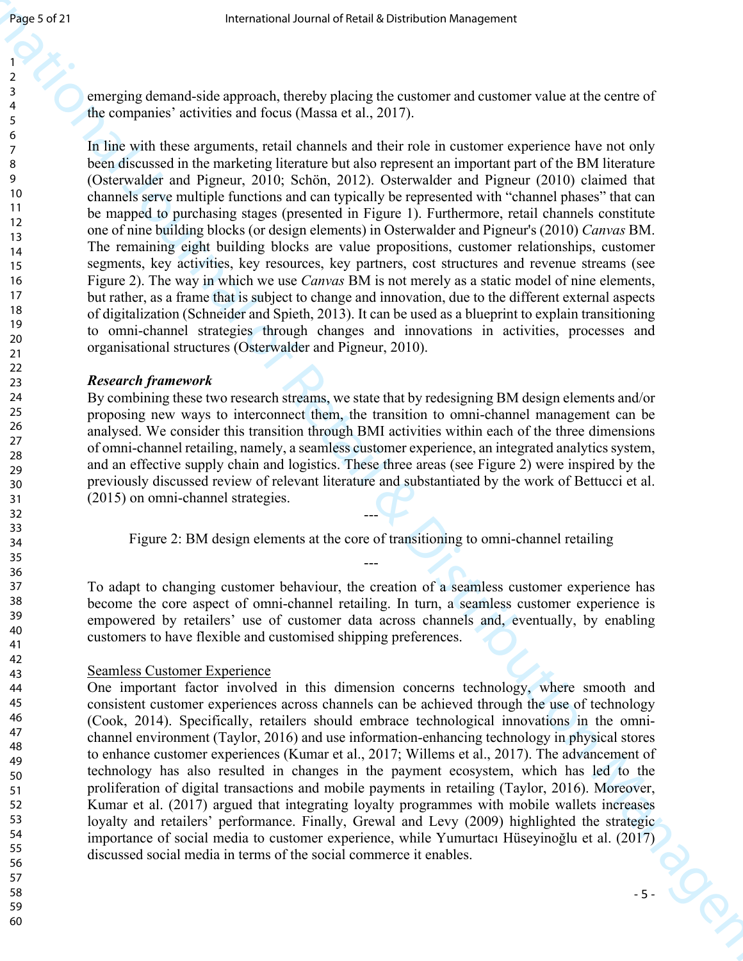60

emerging demand-side approach, thereby placing the customer and customer value at the centre of the companies' activities and focus (Massa et al., 2017).

**Francisco Januari (Viernation**) between the state state methods of the state of the state of the state of the state of the state of the state of the state of the state of the state of the state of the state of the state In line with these arguments, retail channels and their role in customer experience have not only been discussed in the marketing literature but also represent an important part of the BM literature (Osterwalder and Pigneur, 2010; Schön, 2012). Osterwalder and Pigneur (2010) claimed that channels serve multiple functions and can typically be represented with "channel phases" that can be mapped to purchasing stages (presented in Figure 1). Furthermore, retail channels constitute one of nine building blocks (or design elements) in Osterwalder and Pigneur's (2010) *Canvas* BM. The remaining eight building blocks are value propositions, customer relationships, customer segments, key activities, key resources, key partners, cost structures and revenue streams (see Figure 2). The way in which we use *Canvas* BM is not merely as a static model of nine elements, but rather, as a frame that is subject to change and innovation, due to the different external aspects of digitalization (Schneider and Spieth, 2013). It can be used as a blueprint to explain transitioning to omni-channel strategies through changes and innovations in activities, processes and organisational structures (Osterwalder and Pigneur, 2010).

#### *Research framework*

By combining these two research streams, we state that by redesigning BM design elements and/or proposing new ways to interconnect them, the transition to omni-channel management can be analysed. We consider this transition through BMI activities within each of the three dimensions of omni-channel retailing, namely, a seamless customer experience, an integrated analytics system, and an effective supply chain and logistics. These three areas (see Figure 2) were inspired by the previously discussed review of relevant literature and substantiated by the work of Bettucci et al. (2015) on omni-channel strategies.

--- Figure 2: BM design elements at the core of transitioning to omni-channel retailing

---

To adapt to changing customer behaviour, the creation of a seamless customer experience has become the core aspect of omni-channel retailing. In turn, a seamless customer experience is empowered by retailers' use of customer data across channels and, eventually, by enabling customers to have flexible and customised shipping preferences.

#### Seamless Customer Experience

- 500 One important factor involved in this dimension concerns technology, where smooth and consistent customer experiences across channels can be achieved through the use of technology (Cook, 2014). Specifically, retailers should embrace technological innovations in the omnichannel environment (Taylor, 2016) and use information-enhancing technology in physical stores to enhance customer experiences (Kumar et al., 2017; Willems et al., 2017). The advancement of technology has also resulted in changes in the payment ecosystem, which has led to the proliferation of digital transactions and mobile payments in retailing (Taylor, 2016). Moreover, Kumar et al. (2017) argued that integrating loyalty programmes with mobile wallets increases loyalty and retailers' performance. Finally, Grewal and Levy (2009) highlighted the strategic importance of social media to customer experience, while Yumurtacı Hüseyinoğlu et al. (2017) discussed social media in terms of the social commerce it enables.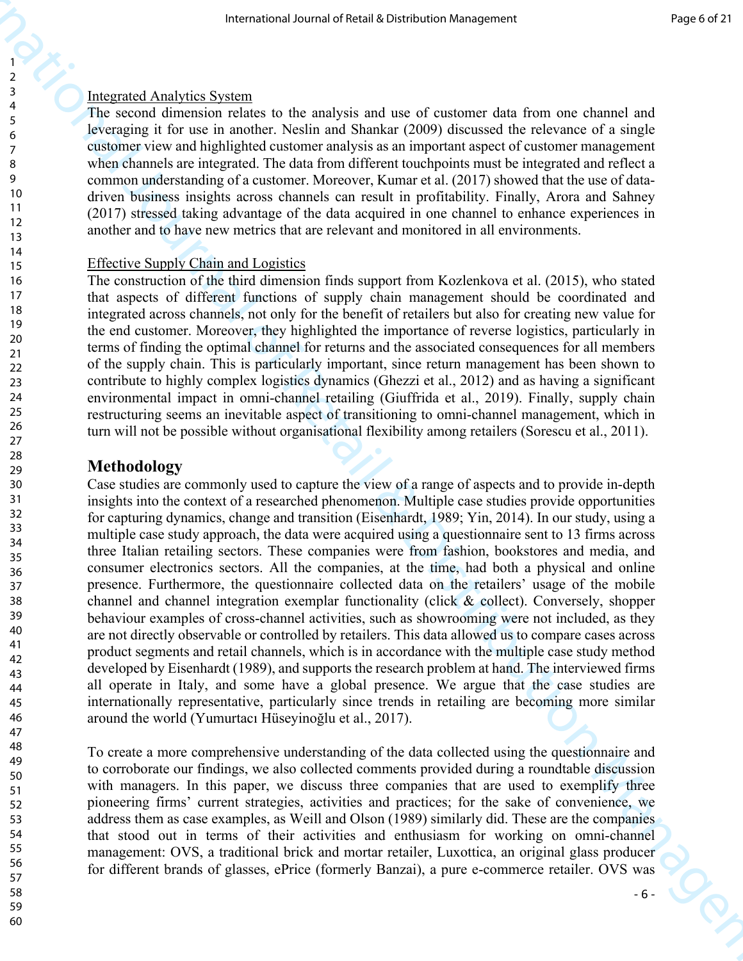## Integrated Analytics System

The second dimension relates to the analysis and use of customer data from one channel and leveraging it for use in another. Neslin and Shankar (2009) discussed the relevance of a single customer view and highlighted customer analysis as an important aspect of customer management when channels are integrated. The data from different touchpoints must be integrated and reflect a common understanding of a customer. Moreover, Kumar et al. (2017) showed that the use of datadriven business insights across channels can result in profitability. Finally, Arora and Sahney (2017) stressed taking advantage of the data acquired in one channel to enhance experiences in another and to have new metrics that are relevant and monitored in all environments.

## Effective Supply Chain and Logistics

The construction of the third dimension finds support from Kozlenkova et al. (2015), who stated that aspects of different functions of supply chain management should be coordinated and integrated across channels, not only for the benefit of retailers but also for creating new value for the end customer. Moreover, they highlighted the importance of reverse logistics, particularly in terms of finding the optimal channel for returns and the associated consequences for all members of the supply chain. This is particularly important, since return management has been shown to contribute to highly complex logistics dynamics (Ghezzi et al., 2012) and as having a significant environmental impact in omni-channel retailing (Giuffrida et al., 2019). Finally, supply chain restructuring seems an inevitable aspect of transitioning to omni-channel management, which in turn will not be possible without organisational flexibility among retailers (Sorescu et al., 2011).

# **Methodology**

International Source of restricts the results of restricts whereas were<br>
2.4  $\frac{1}{2}$ <br>
1. The contract of  $\theta$  is the restricted by the analysis and are of custometed the relevance of a given<br>
2.4  $\frac{1}{2}$  exception Man Case studies are commonly used to capture the view of a range of aspects and to provide in-depth insights into the context of a researched phenomenon. Multiple case studies provide opportunities for capturing dynamics, change and transition (Eisenhardt, 1989; Yin, 2014). In our study, using a multiple case study approach, the data were acquired using a questionnaire sent to 13 firms across three Italian retailing sectors. These companies were from fashion, bookstores and media, and consumer electronics sectors. All the companies, at the time, had both a physical and online presence. Furthermore, the questionnaire collected data on the retailers' usage of the mobile channel and channel integration exemplar functionality (click & collect). Conversely, shopper behaviour examples of cross-channel activities, such as showrooming were not included, as they are not directly observable or controlled by retailers. This data allowed us to compare cases across product segments and retail channels, which is in accordance with the multiple case study method developed by Eisenhardt (1989), and supports the research problem at hand. The interviewed firms all operate in Italy, and some have a global presence. We argue that the case studies are internationally representative, particularly since trends in retailing are becoming more similar around the world (Yumurtacı Hüseyinoğlu et al., 2017).

To create a more comprehensive understanding of the data collected using the questionnaire and to corroborate our findings, we also collected comments provided during a roundtable discussion with managers. In this paper, we discuss three companies that are used to exemplify three pioneering firms' current strategies, activities and practices; for the sake of convenience, we address them as case examples, as Weill and Olson (1989) similarly did. These are the companies that stood out in terms of their activities and enthusiasm for working on omni-channel management: OVS, a traditional brick and mortar retailer, Luxottica, an original glass producer for different brands of glasses, ePrice (formerly Banzai), a pure e-commerce retailer. OVS was

60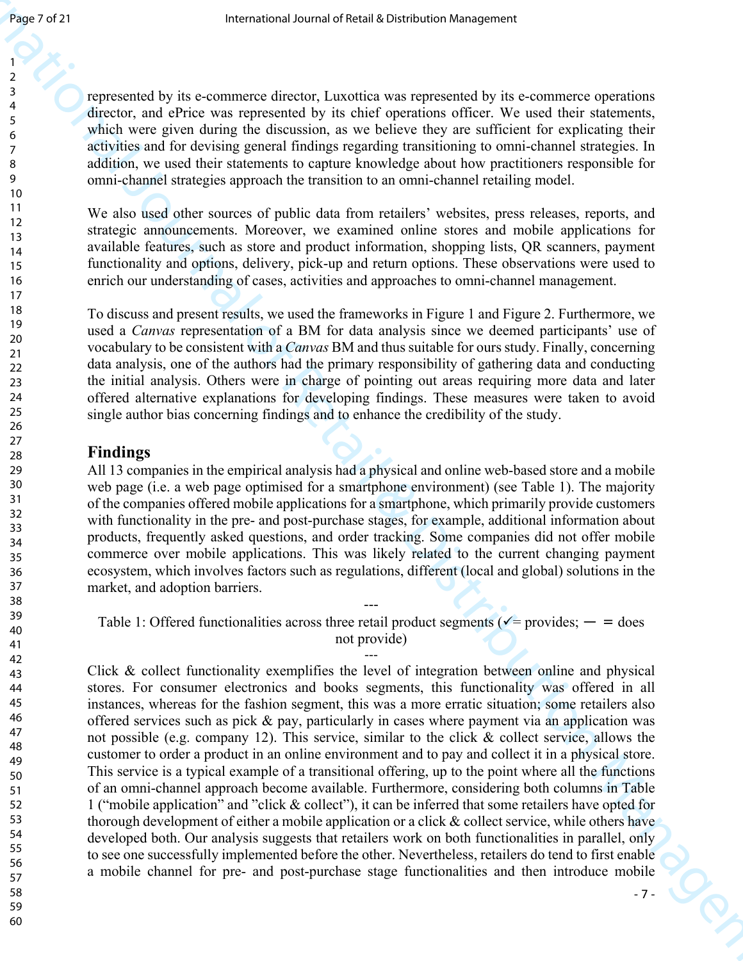represented by its e-commerce director, Luxottica was represented by its e-commerce operations director, and ePrice was represented by its chief operations officer. We used their statements, which were given during the discussion, as we believe they are sufficient for explicating their activities and for devising general findings regarding transitioning to omni-channel strategies. In addition, we used their statements to capture knowledge about how practitioners responsible for omni-channel strategies approach the transition to an omni-channel retailing model.

We also used other sources of public data from retailers' websites, press releases, reports, and strategic announcements. Moreover, we examined online stores and mobile applications for available features, such as store and product information, shopping lists, QR scanners, payment functionality and options, delivery, pick-up and return options. These observations were used to enrich our understanding of cases, activities and approaches to omni-channel management.

To discuss and present results, we used the frameworks in Figure 1 and Figure 2. Furthermore, we used a *Canvas* representation of a BM for data analysis since we deemed participants' use of vocabulary to be consistent with a *Canvas* BM and thus suitable for ours study. Finally, concerning data analysis, one of the authors had the primary responsibility of gathering data and conducting the initial analysis. Others were in charge of pointing out areas requiring more data and later offered alternative explanations for developing findings. These measures were taken to avoid single author bias concerning findings and to enhance the credibility of the study.

## **Findings**

All 13 companies in the empirical analysis had a physical and online web-based store and a mobile web page (i.e. a web page optimised for a smartphone environment) (see Table 1). The majority of the companies offered mobile applications for a smartphone, which primarily provide customers with functionality in the pre- and post-purchase stages, for example, additional information about products, frequently asked questions, and order tracking. Some companies did not offer mobile commerce over mobile applications. This was likely related to the current changing payment ecosystem, which involves factors such as regulations, different (local and global) solutions in the market, and adoption barriers.

Table 1: Offered functionalities across three retail product segments ( $\checkmark$  = provides; — = does not provide)

---

---

**Fractional Source of the state of the state of the state of the state of the state of the state of the state of the state of the state of the state of the state of the state of the state of the state of the state of the** Click & collect functionality exemplifies the level of integration between online and physical stores. For consumer electronics and books segments, this functionality was offered in all instances, whereas for the fashion segment, this was a more erratic situation; some retailers also offered services such as pick & pay, particularly in cases where payment via an application was not possible (e.g. company 12). This service, similar to the click  $\&$  collect service, allows the customer to order a product in an online environment and to pay and collect it in a physical store. This service is a typical example of a transitional offering, up to the point where all the functions of an omni-channel approach become available. Furthermore, considering both columns in Table 1 ("mobile application" and "click & collect"), it can be inferred that some retailers have opted for thorough development of either a mobile application or a click & collect service, while others have developed both. Our analysis suggests that retailers work on both functionalities in parallel, only to see one successfully implemented before the other. Nevertheless, retailers do tend to first enable a mobile channel for pre- and post-purchase stage functionalities and then introduce mobile

- 7 -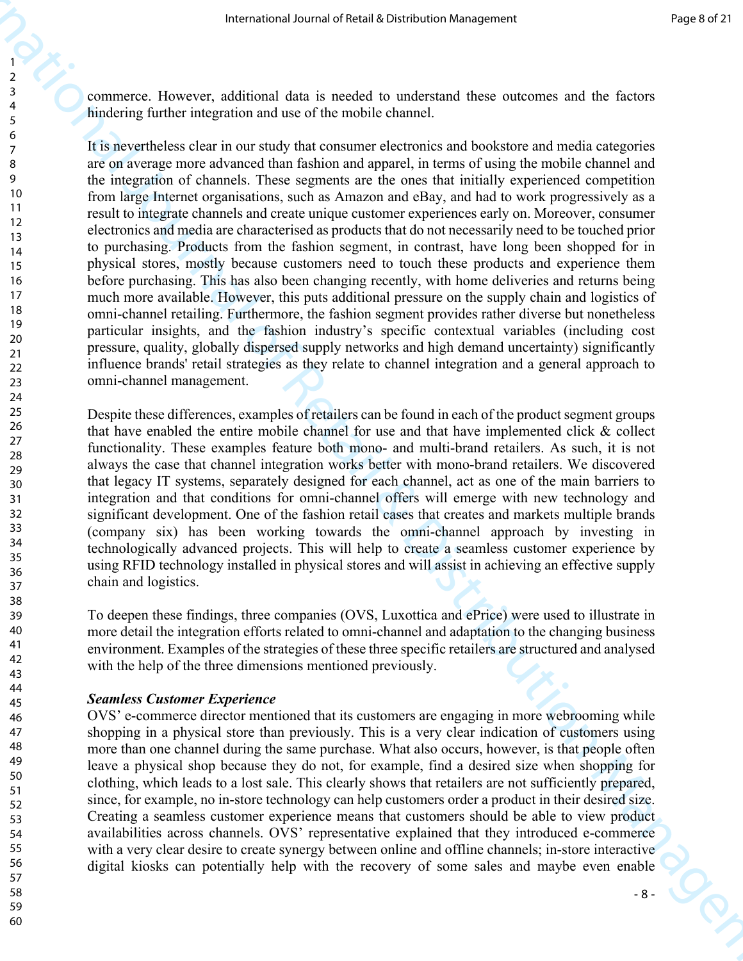commerce. However, additional data is needed to understand these outcomes and the factors hindering further integration and use of the mobile channel.

Internation Journal of Results Are nontent when a weak in the formula of the state of the state of the state of the state of the state of the state of the state of the state of the state of the state of the state of the s It is nevertheless clear in our study that consumer electronics and bookstore and media categories are on average more advanced than fashion and apparel, in terms of using the mobile channel and the integration of channels. These segments are the ones that initially experienced competition from large Internet organisations, such as Amazon and eBay, and had to work progressively as a result to integrate channels and create unique customer experiences early on. Moreover, consumer electronics and media are characterised as products that do not necessarily need to be touched prior to purchasing. Products from the fashion segment, in contrast, have long been shopped for in physical stores, mostly because customers need to touch these products and experience them before purchasing. This has also been changing recently, with home deliveries and returns being much more available. However, this puts additional pressure on the supply chain and logistics of omni-channel retailing. Furthermore, the fashion segment provides rather diverse but nonetheless particular insights, and the fashion industry's specific contextual variables (including cost pressure, quality, globally dispersed supply networks and high demand uncertainty) significantly influence brands' retail strategies as they relate to channel integration and a general approach to omni-channel management.

Despite these differences, examples of retailers can be found in each of the product segment groups that have enabled the entire mobile channel for use and that have implemented click & collect functionality. These examples feature both mono- and multi-brand retailers. As such, it is not always the case that channel integration works better with mono-brand retailers. We discovered that legacy IT systems, separately designed for each channel, act as one of the main barriers to integration and that conditions for omni-channel offers will emerge with new technology and significant development. One of the fashion retail cases that creates and markets multiple brands (company six) has been working towards the omni-channel approach by investing in technologically advanced projects. This will help to create a seamless customer experience by using RFID technology installed in physical stores and will assist in achieving an effective supply chain and logistics.

To deepen these findings, three companies (OVS, Luxottica and ePrice) were used to illustrate in more detail the integration efforts related to omni-channel and adaptation to the changing business environment. Examples of the strategies of these three specific retailers are structured and analysed with the help of the three dimensions mentioned previously.

#### *Seamless Customer Experience*

OVS' e-commerce director mentioned that its customers are engaging in more webrooming while shopping in a physical store than previously. This is a very clear indication of customers using more than one channel during the same purchase. What also occurs, however, is that people often leave a physical shop because they do not, for example, find a desired size when shopping for clothing, which leads to a lost sale. This clearly shows that retailers are not sufficiently prepared, since, for example, no in-store technology can help customers order a product in their desired size. Creating a seamless customer experience means that customers should be able to view product availabilities across channels. OVS' representative explained that they introduced e-commerce with a very clear desire to create synergy between online and offline channels; in-store interactive digital kiosks can potentially help with the recovery of some sales and maybe even enable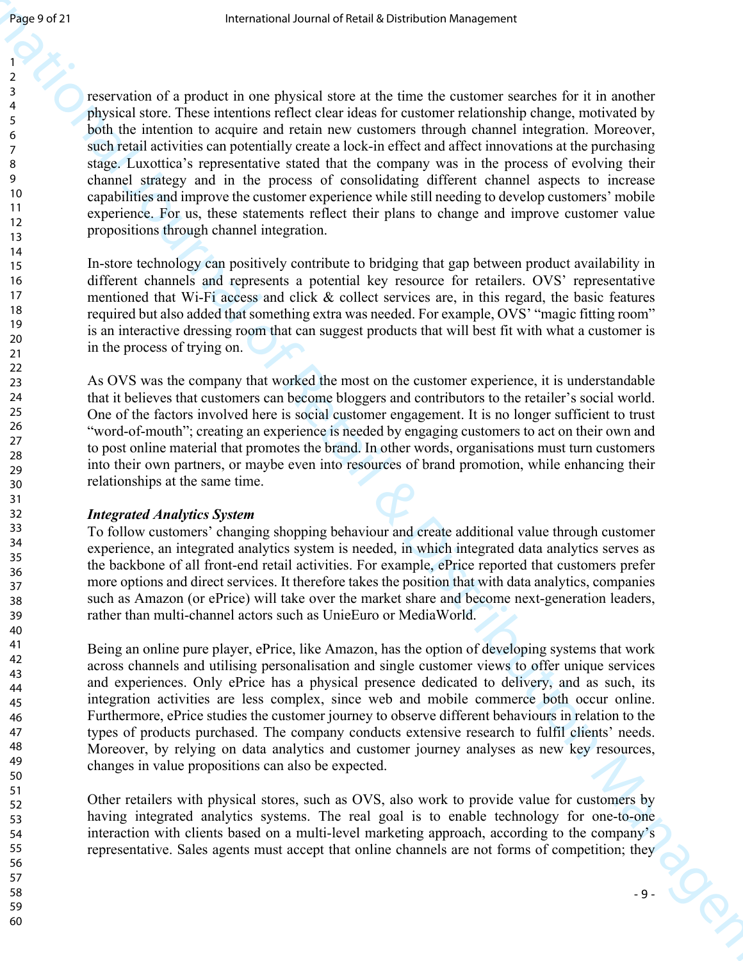**Example 20**<br> **Example 20**<br> **Example 20**<br> **Example 20**<br> **Example 20**<br> **Example 20**<br> **Example 20**<br> **Example 20**<br> **Example 20**<br> **Example 20**<br> **Example 20**<br> **Example 20**<br> **Example 20**<br> **Example 20**<br> **Example 20**<br> **Example 20** reservation of a product in one physical store at the time the customer searches for it in another physical store. These intentions reflect clear ideas for customer relationship change, motivated by both the intention to acquire and retain new customers through channel integration. Moreover, such retail activities can potentially create a lock-in effect and affect innovations at the purchasing stage. Luxottica's representative stated that the company was in the process of evolving their channel strategy and in the process of consolidating different channel aspects to increase capabilities and improve the customer experience while still needing to develop customers' mobile experience. For us, these statements reflect their plans to change and improve customer value propositions through channel integration.

In-store technology can positively contribute to bridging that gap between product availability in different channels and represents a potential key resource for retailers. OVS' representative mentioned that Wi-Fi access and click & collect services are, in this regard, the basic features required but also added that something extra was needed. For example, OVS' "magic fitting room" is an interactive dressing room that can suggest products that will best fit with what a customer is in the process of trying on.

As OVS was the company that worked the most on the customer experience, it is understandable that it believes that customers can become bloggers and contributors to the retailer's social world. One of the factors involved here is social customer engagement. It is no longer sufficient to trust "word-of-mouth"; creating an experience is needed by engaging customers to act on their own and to post online material that promotes the brand. In other words, organisations must turn customers into their own partners, or maybe even into resources of brand promotion, while enhancing their relationships at the same time.

#### *Integrated Analytics System*

To follow customers' changing shopping behaviour and create additional value through customer experience, an integrated analytics system is needed, in which integrated data analytics serves as the backbone of all front-end retail activities. For example, ePrice reported that customers prefer more options and direct services. It therefore takes the position that with data analytics, companies such as Amazon (or ePrice) will take over the market share and become next-generation leaders, rather than multi-channel actors such as UnieEuro or MediaWorld.

Being an online pure player, ePrice, like Amazon, has the option of developing systems that work across channels and utilising personalisation and single customer views to offer unique services and experiences. Only ePrice has a physical presence dedicated to delivery, and as such, its integration activities are less complex, since web and mobile commerce both occur online. Furthermore, ePrice studies the customer journey to observe different behaviours in relation to the types of products purchased. The company conducts extensive research to fulfil clients' needs. Moreover, by relying on data analytics and customer journey analyses as new key resources, changes in value propositions can also be expected.

Other retailers with physical stores, such as OVS, also work to provide value for customers by having integrated analytics systems. The real goal is to enable technology for one-to-one interaction with clients based on a multi-level marketing approach, according to the company's representative. Sales agents must accept that online channels are not forms of competition; they<br>
-9.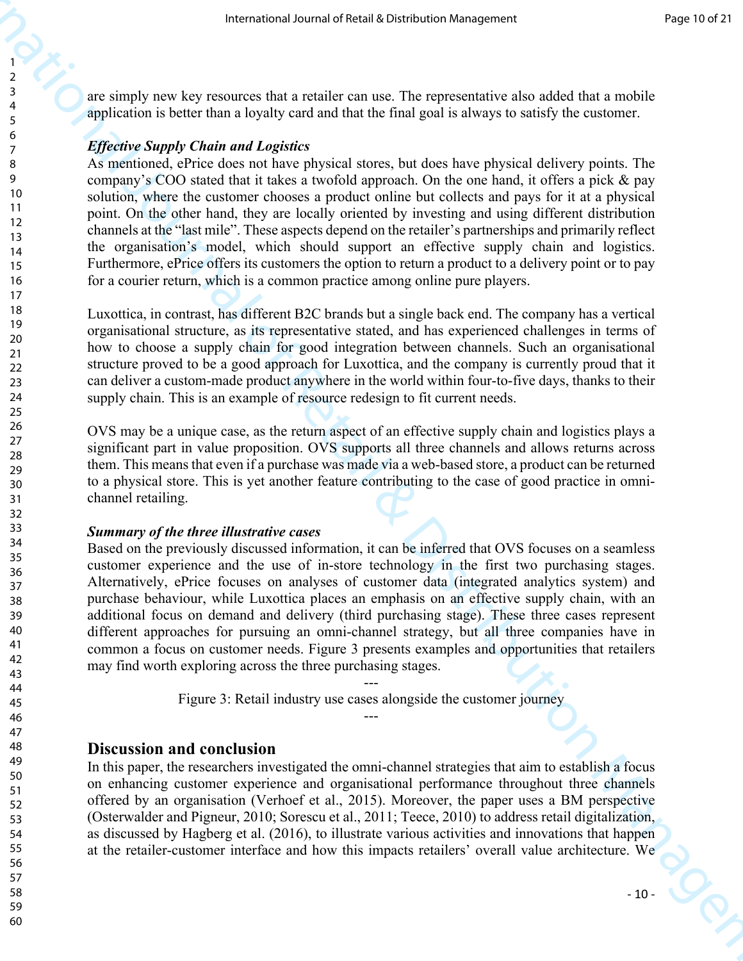are simply new key resources that a retailer can use. The representative also added that a mobile application is better than a loyalty card and that the final goal is always to satisfy the customer.

#### *Effective Supply Chain and Logistics*

International Source of Results Automatic Weitscher Also absolute the subsection of the subsection of the subsection of the subsection of  $\frac{1}{2}$  and  $\frac{1}{2}$  and  $\frac{1}{2}$  and  $\frac{1}{2}$  and  $\frac{1}{2}$  and  $\frac{1}{2}$  and As mentioned, ePrice does not have physical stores, but does have physical delivery points. The company's COO stated that it takes a twofold approach. On the one hand, it offers a pick & pay solution, where the customer chooses a product online but collects and pays for it at a physical point. On the other hand, they are locally oriented by investing and using different distribution channels at the "last mile". These aspects depend on the retailer's partnerships and primarily reflect the organisation's model, which should support an effective supply chain and logistics. Furthermore, ePrice offers its customers the option to return a product to a delivery point or to pay for a courier return, which is a common practice among online pure players.

Luxottica, in contrast, has different B2C brands but a single back end. The company has a vertical organisational structure, as its representative stated, and has experienced challenges in terms of how to choose a supply chain for good integration between channels. Such an organisational structure proved to be a good approach for Luxottica, and the company is currently proud that it can deliver a custom-made product anywhere in the world within four-to-five days, thanks to their supply chain. This is an example of resource redesign to fit current needs.

OVS may be a unique case, as the return aspect of an effective supply chain and logistics plays a significant part in value proposition. OVS supports all three channels and allows returns across them. This means that even if a purchase was made via a web-based store, a product can be returned to a physical store. This is yet another feature contributing to the case of good practice in omnichannel retailing.

#### *Summary of the three illustrative cases*

Based on the previously discussed information, it can be inferred that OVS focuses on a seamless customer experience and the use of in-store technology in the first two purchasing stages. Alternatively, ePrice focuses on analyses of customer data (integrated analytics system) and purchase behaviour, while Luxottica places an emphasis on an effective supply chain, with an additional focus on demand and delivery (third purchasing stage). These three cases represent different approaches for pursuing an omni-channel strategy, but all three companies have in common a focus on customer needs. Figure 3 presents examples and opportunities that retailers may find worth exploring across the three purchasing stages.

> --- Figure 3: Retail industry use cases alongside the customer journey ---

## **Discussion and conclusion**

In this paper, the researchers investigated the omni-channel strategies that aim to establish a focus on enhancing customer experience and organisational performance throughout three channels offered by an organisation (Verhoef et al., 2015). Moreover, the paper uses a BM perspective (Osterwalder and Pigneur, 2010; Sorescu et al., 2011; Teece, 2010) to address retail digitalization, as discussed by Hagberg et al. (2016), to illustrate various activities and innovations that happen at the retailer-customer interface and how this impacts retailers' overall value architecture. We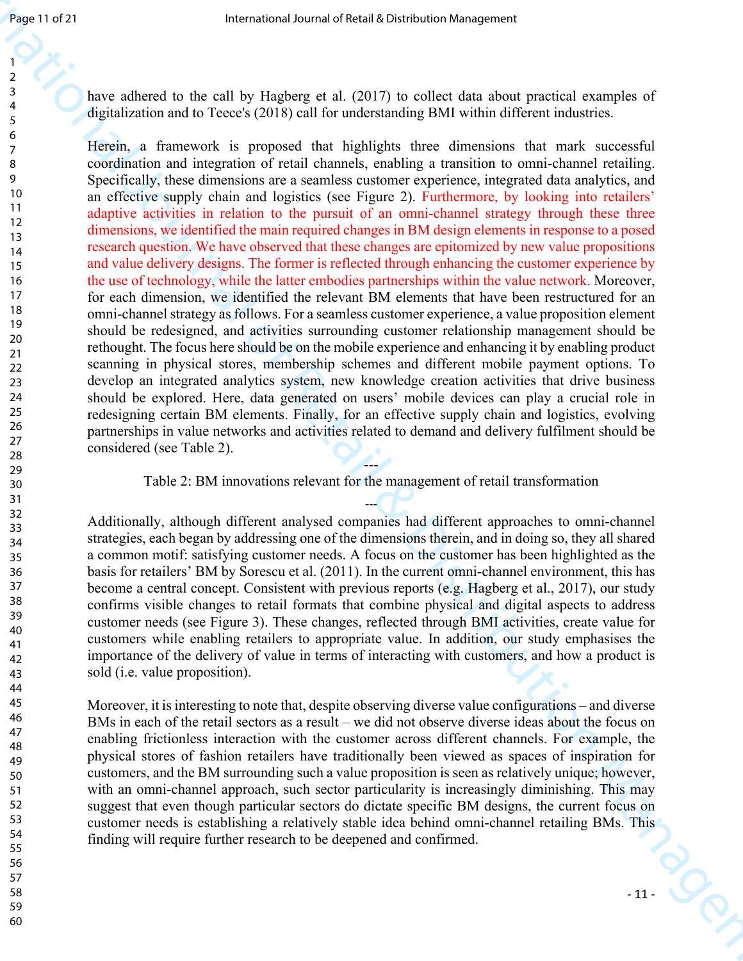have adhered to the call by Hagberg et al. (2017) to collect data about practical examples of digitalization and to Teece's (2018) call for understanding BMI within different industries.

Fractional of the collective of Retail Associates the system of Retail Associates of Retail Associates and COU in the collective of Retail Associates and COU in the collective of Retail Associates and Associates and Assoc Herein, a framework is proposed that highlights three dimensions that mark successful coordination and integration of retail channels, enabling a transition to omni-channel retailing. Specifically, these dimensions are a seamless customer experience, integrated data analytics, and an effective supply chain and logistics (see Figure 2). Furthermore, by looking into retailers' adaptive activities in relation to the pursuit of an omni-channel strategy through these three dimensions, we identified the main required changes in BM design elements in response to a posed research question. We have observed that these changes are epitomized by new value propositions and value delivery designs. The former is reflected through enhancing the customer experience by the use of technology, while the latter embodies partnerships within the value network. Moreover, for each dimension, we identified the relevant BM elements that have been restructured for an omni-channel strategy as follows. For a seamless customer experience, a value proposition element should be redesigned, and activities surrounding customer relationship management should be rethought. The focus here should be on the mobile experience and enhancing it by enabling product scanning in physical stores, membership schemes and different mobile payment options. To develop an integrated analytics system, new knowledge creation activities that drive business should be explored. Here, data generated on users' mobile devices can play a crucial role in redesigning certain BM elements. Finally, for an effective supply chain and logistics, evolving partnerships in value networks and activities related to demand and delivery fulfilment should be considered (see Table 2).

--- Table 2: BM innovations relevant for the management of retail transformation ---

Additionally, although different analysed companies had different approaches to omni-channel strategies, each began by addressing one of the dimensions therein, and in doing so, they all shared a common motif: satisfying customer needs. A focus on the customer has been highlighted as the basis for retailers' BM by Sorescu et al. (2011). In the current omni-channel environment, this has become a central concept. Consistent with previous reports (e.g. Hagberg et al., 2017), our study confirms visible changes to retail formats that combine physical and digital aspects to address customer needs (see Figure 3). These changes, reflected through BMI activities, create value for customers while enabling retailers to appropriate value. In addition, our study emphasises the importance of the delivery of value in terms of interacting with customers, and how a product is sold (i.e. value proposition).

**PO20** Moreover, it is interesting to note that, despite observing diverse value configurations – and diverse BMs in each of the retail sectors as a result – we did not observe diverse ideas about the focus on enabling frictionless interaction with the customer across different channels. For example, the physical stores of fashion retailers have traditionally been viewed as spaces of inspiration for customers, and the BM surrounding such a value proposition is seen as relatively unique; however, with an omni-channel approach, such sector particularity is increasingly diminishing. This may suggest that even though particular sectors do dictate specific BM designs, the current focus on customer needs is establishing a relatively stable idea behind omni-channel retailing BMs. This finding will require further research to be deepened and confirmed.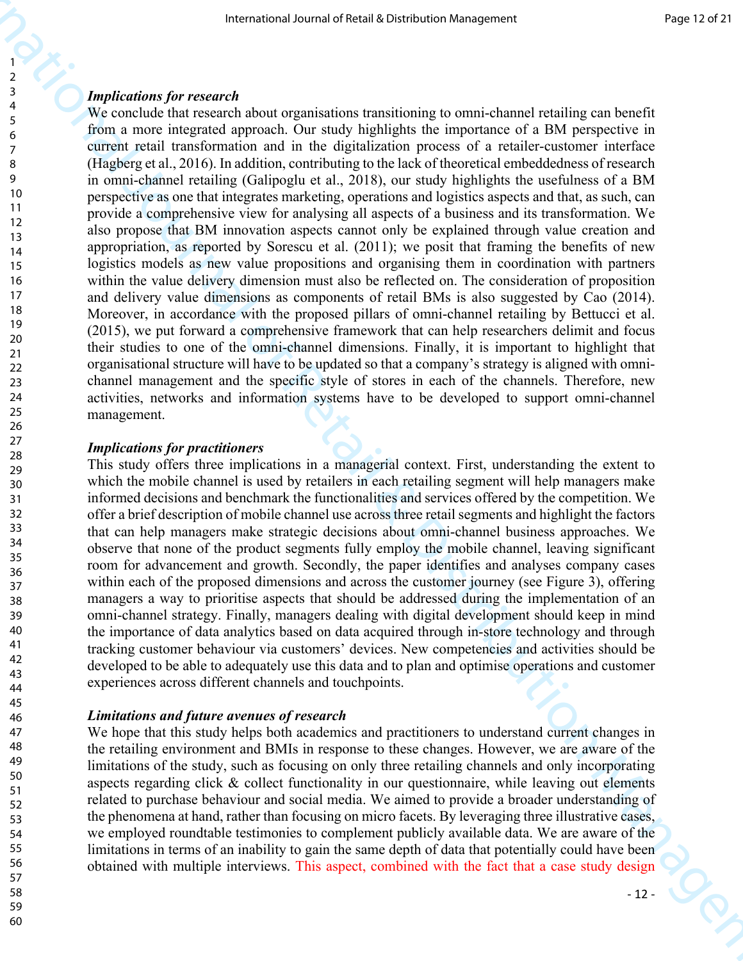### *Implications for research*

Internation learned texts is a trichain wheneverse.<br>
International of the constrained international of the constrained international of the constrained international of the constrained international of the constrained int We conclude that research about organisations transitioning to omni-channel retailing can benefit from a more integrated approach. Our study highlights the importance of a BM perspective in current retail transformation and in the digitalization process of a retailer-customer interface (Hagberg et al., 2016). In addition, contributing to the lack of theoretical embeddedness of research in omni-channel retailing (Galipoglu et al., 2018), our study highlights the usefulness of a BM perspective as one that integrates marketing, operations and logistics aspects and that, as such, can provide a comprehensive view for analysing all aspects of a business and its transformation. We also propose that BM innovation aspects cannot only be explained through value creation and appropriation, as reported by Sorescu et al. (2011); we posit that framing the benefits of new logistics models as new value propositions and organising them in coordination with partners within the value delivery dimension must also be reflected on. The consideration of proposition and delivery value dimensions as components of retail BMs is also suggested by Cao (2014). Moreover, in accordance with the proposed pillars of omni-channel retailing by Bettucci et al. (2015), we put forward a comprehensive framework that can help researchers delimit and focus their studies to one of the omni-channel dimensions. Finally, it is important to highlight that organisational structure will have to be updated so that a company's strategy is aligned with omnichannel management and the specific style of stores in each of the channels. Therefore, new activities, networks and information systems have to be developed to support omni-channel management.

#### *Implications for practitioners*

This study offers three implications in a managerial context. First, understanding the extent to which the mobile channel is used by retailers in each retailing segment will help managers make informed decisions and benchmark the functionalities and services offered by the competition. We offer a brief description of mobile channel use across three retail segments and highlight the factors that can help managers make strategic decisions about omni-channel business approaches. We observe that none of the product segments fully employ the mobile channel, leaving significant room for advancement and growth. Secondly, the paper identifies and analyses company cases within each of the proposed dimensions and across the customer journey (see Figure 3), offering managers a way to prioritise aspects that should be addressed during the implementation of an omni-channel strategy. Finally, managers dealing with digital development should keep in mind the importance of data analytics based on data acquired through in-store technology and through tracking customer behaviour via customers' devices. New competencies and activities should be developed to be able to adequately use this data and to plan and optimise operations and customer experiences across different channels and touchpoints.

#### *Limitations and future avenues of research*

We hope that this study helps both academics and practitioners to understand current changes in the retailing environment and BMIs in response to these changes. However, we are aware of the limitations of the study, such as focusing on only three retailing channels and only incorporating aspects regarding click  $\&$  collect functionality in our questionnaire, while leaving out elements related to purchase behaviour and social media. We aimed to provide a broader understanding of the phenomena at hand, rather than focusing on micro facets. By leveraging three illustrative cases, we employed roundtable testimonies to complement publicly available data. We are aware of the limitations in terms of an inability to gain the same depth of data that potentially could have been obtained with multiple interviews. This aspect, combined with the fact that a case study design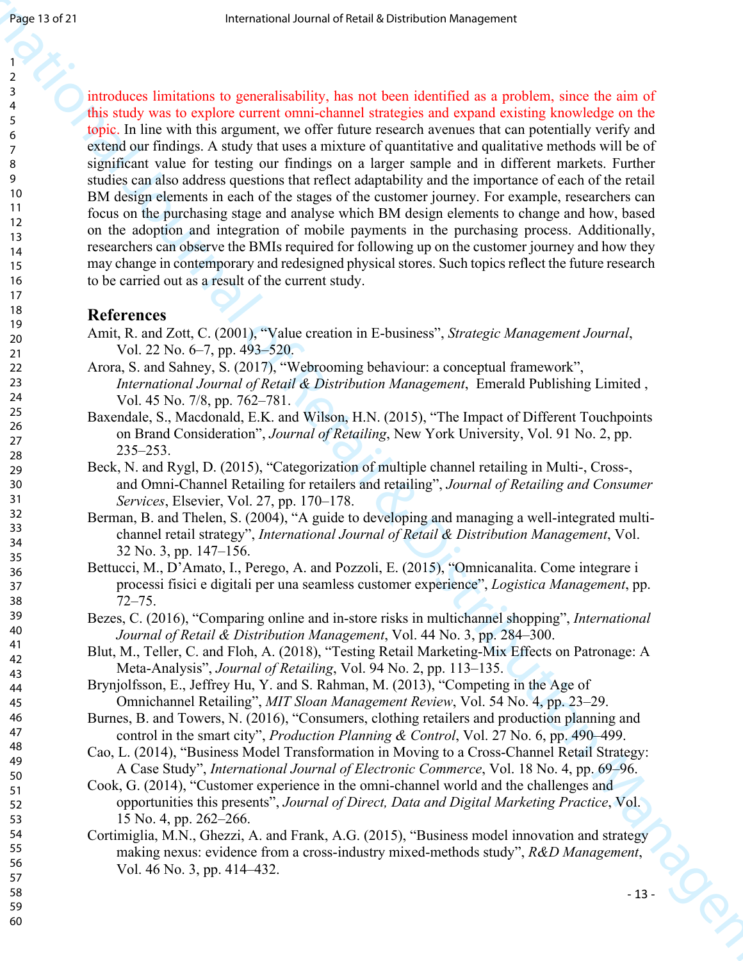60

From 1983 1973)<br>
International terms internal of Retail & Steringte Management of Retail & Altimation and<br>  $\frac{1}{2}$  of the Baranchi and the Altimative Company of the Baranchi and the Altimative Company of the Baranchi an introduces limitations to generalisability, has not been identified as a problem, since the aim of this study was to explore current omni-channel strategies and expand existing knowledge on the topic. In line with this argument, we offer future research avenues that can potentially verify and extend our findings. A study that uses a mixture of quantitative and qualitative methods will be of significant value for testing our findings on a larger sample and in different markets. Further studies can also address questions that reflect adaptability and the importance of each of the retail BM design elements in each of the stages of the customer journey. For example, researchers can focus on the purchasing stage and analyse which BM design elements to change and how, based on the adoption and integration of mobile payments in the purchasing process. Additionally, researchers can observe the BMIs required for following up on the customer journey and how they may change in contemporary and redesigned physical stores. Such topics reflect the future research to be carried out as a result of the current study.

## **References**

- Amit, R. and Zott, C. (2001), "Value creation in E-business", *Strategic Management Journal*, Vol. 22 No. 6–7, pp. 493–520.
- Arora, S. and Sahney, S. (2017), "Webrooming behaviour: a conceptual framework", *International Journal of Retail & Distribution Management*, Emerald Publishing Limited , Vol. 45 No. 7/8, pp. 762–781.
- Baxendale, S., Macdonald, E.K. and Wilson, H.N. (2015), "The Impact of Different Touchpoints on Brand Consideration", *Journal of Retailing*, New York University, Vol. 91 No. 2, pp. 235–253.
- Beck, N. and Rygl, D. (2015), "Categorization of multiple channel retailing in Multi-, Cross-, and Omni-Channel Retailing for retailers and retailing", *Journal of Retailing and Consumer Services*, Elsevier, Vol. 27, pp. 170–178.
- Berman, B. and Thelen, S. (2004), "A guide to developing and managing a well-integrated multichannel retail strategy", *International Journal of Retail & Distribution Management*, Vol. 32 No. 3, pp. 147–156.
- Bettucci, M., D'Amato, I., Perego, A. and Pozzoli, E. (2015), "Omnicanalita. Come integrare i processi fisici e digitali per una seamless customer experience", *Logistica Management*, pp. 72–75.
- Bezes, C. (2016), "Comparing online and in-store risks in multichannel shopping", *International Journal of Retail & Distribution Management*, Vol. 44 No. 3, pp. 284–300.
- Blut, M., Teller, C. and Floh, A. (2018), "Testing Retail Marketing-Mix Effects on Patronage: A Meta-Analysis", *Journal of Retailing*, Vol. 94 No. 2, pp. 113–135.
- Brynjolfsson, E., Jeffrey Hu, Y. and S. Rahman, M. (2013), "Competing in the Age of Omnichannel Retailing", *MIT Sloan Management Review*, Vol. 54 No. 4, pp. 23–29.
- Burnes, B. and Towers, N. (2016), "Consumers, clothing retailers and production planning and control in the smart city", *Production Planning & Control*, Vol. 27 No. 6, pp. 490–499.
- Cao, L. (2014), "Business Model Transformation in Moving to a Cross-Channel Retail Strategy: A Case Study", *International Journal of Electronic Commerce*, Vol. 18 No. 4, pp. 69–96.
- Cook, G. (2014), "Customer experience in the omni-channel world and the challenges and opportunities this presents", *Journal of Direct, Data and Digital Marketing Practice*, Vol. 15 No. 4, pp. 262–266.
- Cortimiglia, M.N., Ghezzi, A. and Frank, A.G. (2015), "Business model innovation and strategy making nexus: evidence from a cross-industry mixed-methods study", *R&D Management*, Vol. 46 No. 3, pp. 414–432.

- 13 -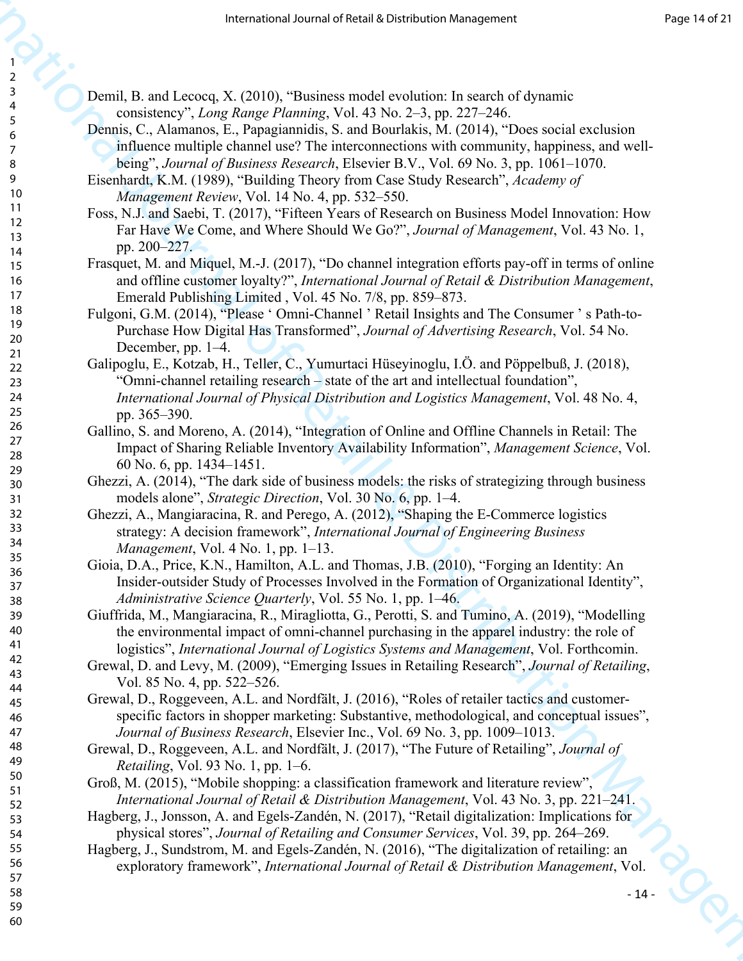Demil, B. and Lecocq, X. (2010), "Business model evolution: In search of dynamic consistency", *Long Range Planning*, Vol. 43 No. 2–3, pp. 227–246.

- Dennis, C., Alamanos, E., Papagiannidis, S. and Bourlakis, M. (2014), "Does social exclusion influence multiple channel use? The interconnections with community, happiness, and wellbeing", *Journal of Business Research*, Elsevier B.V., Vol. 69 No. 3, pp. 1061–1070.
- Eisenhardt, K.M. (1989), "Building Theory from Case Study Research", *Academy of Management Review*, Vol. 14 No. 4, pp. 532–550.
- Foss, N.J. and Saebi, T. (2017), "Fifteen Years of Research on Business Model Innovation: How Far Have We Come, and Where Should We Go?", *Journal of Management*, Vol. 43 No. 1, pp. 200–227.
- Frasquet, M. and Miquel, M.-J. (2017), "Do channel integration efforts pay-off in terms of online and offline customer loyalty?", *International Journal of Retail & Distribution Management*, Emerald Publishing Limited , Vol. 45 No. 7/8, pp. 859–873.
- Fulgoni, G.M. (2014), "Please ' Omni-Channel ' Retail Insights and The Consumer ' s Path-to-Purchase How Digital Has Transformed", *Journal of Advertising Research*, Vol. 54 No. December, pp. 1–4.
- Internation Journal of Reside System international Particle in Figure 18.42<br>
2.4 Formula, C. A. (2010). The contrast experiment of American Control of American Control of Retail and Systems (2. A. (2011). The control of T Galipoglu, E., Kotzab, H., Teller, C., Yumurtaci Hüseyinoglu, I.Ö. and Pöppelbuß, J. (2018), "Omni-channel retailing research – state of the art and intellectual foundation", *International Journal of Physical Distribution and Logistics Management*, Vol. 48 No. 4, pp. 365–390.
	- Gallino, S. and Moreno, A. (2014), "Integration of Online and Offline Channels in Retail: The Impact of Sharing Reliable Inventory Availability Information", *Management Science*, Vol. 60 No. 6, pp. 1434–1451.
	- Ghezzi, A. (2014), "The dark side of business models: the risks of strategizing through business models alone", *Strategic Direction*, Vol. 30 No. 6, pp. 1–4.
	- Ghezzi, A., Mangiaracina, R. and Perego, A. (2012), "Shaping the E-Commerce logistics strategy: A decision framework", *International Journal of Engineering Business Management*, Vol. 4 No. 1, pp. 1–13.
	- Gioia, D.A., Price, K.N., Hamilton, A.L. and Thomas, J.B. (2010), "Forging an Identity: An Insider-outsider Study of Processes Involved in the Formation of Organizational Identity", *Administrative Science Quarterly*, Vol. 55 No. 1, pp. 1–46.
	- Giuffrida, M., Mangiaracina, R., Miragliotta, G., Perotti, S. and Tumino, A. (2019), "Modelling the environmental impact of omni-channel purchasing in the apparel industry: the role of logistics", *International Journal of Logistics Systems and Management*, Vol. Forthcomin.
	- Grewal, D. and Levy, M. (2009), "Emerging Issues in Retailing Research", *Journal of Retailing*, Vol. 85 No. 4, pp. 522–526.
	- Grewal, D., Roggeveen, A.L. and Nordfält, J. (2016), "Roles of retailer tactics and customerspecific factors in shopper marketing: Substantive, methodological, and conceptual issues", *Journal of Business Research*, Elsevier Inc., Vol. 69 No. 3, pp. 1009–1013.
	- Grewal, D., Roggeveen, A.L. and Nordfält, J. (2017), "The Future of Retailing", *Journal of Retailing*, Vol. 93 No. 1, pp. 1–6.
	- Groß, M. (2015), "Mobile shopping: a classification framework and literature review", *International Journal of Retail & Distribution Management*, Vol. 43 No. 3, pp. 221–241.
	- Hagberg, J., Jonsson, A. and Egels-Zandén, N. (2017), "Retail digitalization: Implications for physical stores", *Journal of Retailing and Consumer Services*, Vol. 39, pp. 264–269.
	- Hagberg, J., Sundstrom, M. and Egels-Zandén, N. (2016), "The digitalization of retailing: an exploratory framework", *International Journal of Retail & Distribution Management*, Vol.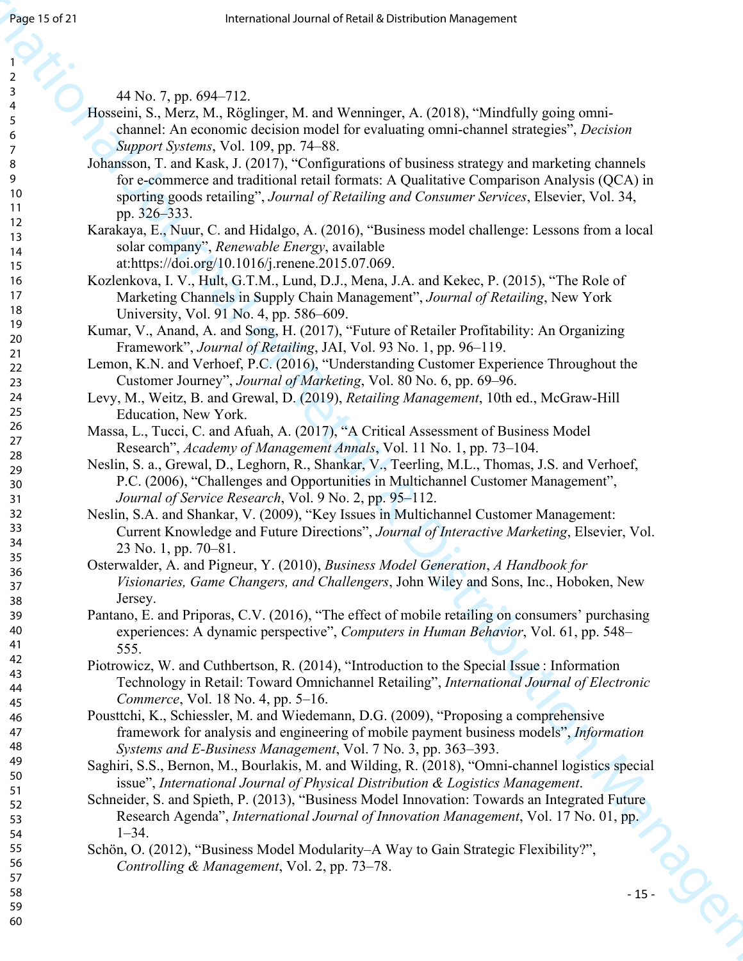| ,                               |  |
|---------------------------------|--|
| 3                               |  |
| 4                               |  |
|                                 |  |
| 5                               |  |
| 6                               |  |
|                                 |  |
| 8                               |  |
| $\mathbf$<br>)                  |  |
|                                 |  |
| 10                              |  |
| 11                              |  |
| $\mathbf{1}$<br>フ               |  |
| $\overline{13}$                 |  |
|                                 |  |
| 1.<br>4                         |  |
| 15                              |  |
| 16                              |  |
| 17                              |  |
| 18                              |  |
|                                 |  |
| 19                              |  |
| 20                              |  |
| $\overline{21}$                 |  |
| $\overline{2}$<br>$\mathcal{P}$ |  |
| $\overline{2}$<br>3             |  |
|                                 |  |
| $^{24}$                         |  |
| 25                              |  |
| 26                              |  |
| 27                              |  |
|                                 |  |
| 28                              |  |
| 29                              |  |
| 30                              |  |
|                                 |  |
|                                 |  |
| $\overline{\textbf{3}}$         |  |
| $\overline{\mathbf{3}}$<br>フ    |  |
| $\overline{\mathbf{3}}$<br>ξ    |  |
| 34                              |  |
| 35                              |  |
|                                 |  |
| 36                              |  |
| 37                              |  |
| 38                              |  |
| 3S<br>冫                         |  |
| 40                              |  |
|                                 |  |
| 41                              |  |
| 42                              |  |
| 43                              |  |
| 44                              |  |
| 45                              |  |
|                                 |  |
| 46                              |  |
| 47                              |  |
| 48                              |  |
| 49                              |  |
| 50                              |  |
|                                 |  |
| 51                              |  |
| 5<br>2                          |  |
| 53                              |  |
| 54                              |  |
| 55                              |  |
|                                 |  |
| 56                              |  |
| 57                              |  |
| 58<br>59                        |  |

60

44 No. 7, pp. 694–712.

- Hosseini, S., Merz, M., Röglinger, M. and Wenninger, A. (2018), "Mindfully going omnichannel: An economic decision model for evaluating omni-channel strategies", *Decision Support Systems*, Vol. 109, pp. 74–88.
- Fractional of the Manusca Control of Retail & Oriental Warshington Management (Figure 2)<br>
1983 Andre Management Andre Management Andre Management Andre Management Andre Management Andre Management Andre Management Andre Johansson, T. and Kask, J. (2017), "Configurations of business strategy and marketing channels for e-commerce and traditional retail formats: A Qualitative Comparison Analysis (QCA) in sporting goods retailing", *Journal of Retailing and Consumer Services*, Elsevier, Vol. 34, pp. 326–333.
	- Karakaya, E., Nuur, C. and Hidalgo, A. (2016), "Business model challenge: Lessons from a local solar company", *Renewable Energy*, available at:https://doi.org/10.1016/j.renene.2015.07.069.
	- Kozlenkova, I. V., Hult, G.T.M., Lund, D.J., Mena, J.A. and Kekec, P. (2015), "The Role of Marketing Channels in Supply Chain Management", *Journal of Retailing*, New York University, Vol. 91 No. 4, pp. 586–609.
	- Kumar, V., Anand, A. and Song, H. (2017), "Future of Retailer Profitability: An Organizing Framework", *Journal of Retailing*, JAI, Vol. 93 No. 1, pp. 96–119.
	- Lemon, K.N. and Verhoef, P.C. (2016), "Understanding Customer Experience Throughout the Customer Journey", *Journal of Marketing*, Vol. 80 No. 6, pp. 69–96.
	- Levy, M., Weitz, B. and Grewal, D. (2019), *Retailing Management*, 10th ed., McGraw-Hill Education, New York.
	- Massa, L., Tucci, C. and Afuah, A. (2017), "A Critical Assessment of Business Model Research", *Academy of Management Annals*, Vol. 11 No. 1, pp. 73–104.
	- Neslin, S. a., Grewal, D., Leghorn, R., Shankar, V., Teerling, M.L., Thomas, J.S. and Verhoef, P.C. (2006), "Challenges and Opportunities in Multichannel Customer Management", *Journal of Service Research*, Vol. 9 No. 2, pp. 95–112.
	- Neslin, S.A. and Shankar, V. (2009), "Key Issues in Multichannel Customer Management: Current Knowledge and Future Directions", *Journal of Interactive Marketing*, Elsevier, Vol. 23 No. 1, pp. 70–81.
	- Osterwalder, A. and Pigneur, Y. (2010), *Business Model Generation*, *A Handbook for Visionaries, Game Changers, and Challengers*, John Wiley and Sons, Inc., Hoboken, New Jersey.
	- Pantano, E. and Priporas, C.V. (2016), "The effect of mobile retailing on consumers' purchasing experiences: A dynamic perspective", *Computers in Human Behavior*, Vol. 61, pp. 548– 555.
	- Piotrowicz, W. and Cuthbertson, R. (2014), "Introduction to the Special Issue : Information Technology in Retail: Toward Omnichannel Retailing", *International Journal of Electronic Commerce*, Vol. 18 No. 4, pp. 5–16.
	- Pousttchi, K., Schiessler, M. and Wiedemann, D.G. (2009), "Proposing a comprehensive framework for analysis and engineering of mobile payment business models", *Information Systems and E-Business Management*, Vol. 7 No. 3, pp. 363–393.
	- Saghiri, S.S., Bernon, M., Bourlakis, M. and Wilding, R. (2018), "Omni-channel logistics special issue", *International Journal of Physical Distribution & Logistics Management*.
	- Schneider, S. and Spieth, P. (2013), "Business Model Innovation: Towards an Integrated Future Research Agenda", *International Journal of Innovation Management*, Vol. 17 No. 01, pp.  $1 - 34$ .
	- Schön, O. (2012), "Business Model Modularity–A Way to Gain Strategic Flexibility?", *Controlling & Management*, Vol. 2, pp. 73–78.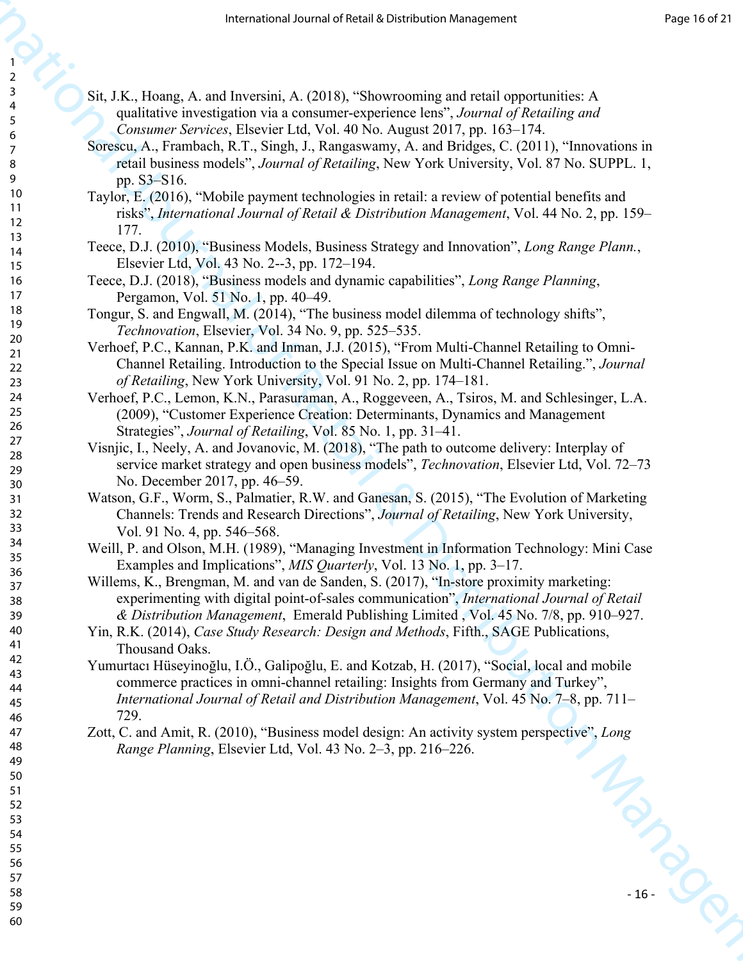- Sit, J.K., Hoang, A. and Inversini, A. (2018), "Showrooming and retail opportunities: A qualitative investigation via a consumer-experience lens", *Journal of Retailing and Consumer Services*, Elsevier Ltd, Vol. 40 No. August 2017, pp. 163–174.
- Sorescu, A., Frambach, R.T., Singh, J., Rangaswamy, A. and Bridges, C. (2011), "Innovations in retail business models", *Journal of Retailing*, New York University, Vol. 87 No. SUPPL. 1, pp. S3–S16.
- Taylor, E. (2016), "Mobile payment technologies in retail: a review of potential benefits and risks", *International Journal of Retail & Distribution Management*, Vol. 44 No. 2, pp. 159– 177.
- Teece, D.J. (2010), "Business Models, Business Strategy and Innovation", *Long Range Plann.*, Elsevier Ltd, Vol. 43 No. 2--3, pp. 172–194.
- Teece, D.J. (2018), "Business models and dynamic capabilities", *Long Range Planning*, Pergamon, Vol. 51 No. 1, pp. 40–49.
- Tongur, S. and Engwall, M. (2014), "The business model dilemma of technology shifts", *Technovation*, Elsevier, Vol. 34 No. 9, pp. 525–535.
- Verhoef, P.C., Kannan, P.K. and Inman, J.J. (2015), "From Multi-Channel Retailing to Omni-Channel Retailing. Introduction to the Special Issue on Multi-Channel Retailing.", *Journal of Retailing*, New York University, Vol. 91 No. 2, pp. 174–181.
- Verhoef, P.C., Lemon, K.N., Parasuraman, A., Roggeveen, A., Tsiros, M. and Schlesinger, L.A. (2009), "Customer Experience Creation: Determinants, Dynamics and Management Strategies", *Journal of Retailing*, Vol. 85 No. 1, pp. 31–41.
- Visnjic, I., Neely, A. and Jovanovic, M. (2018), "The path to outcome delivery: Interplay of service market strategy and open business models", *Technovation*, Elsevier Ltd, Vol. 72–73 No. December 2017, pp. 46–59.
- Watson, G.F., Worm, S., Palmatier, R.W. and Ganesan, S. (2015), "The Evolution of Marketing Channels: Trends and Research Directions", *Journal of Retailing*, New York University, Vol. 91 No. 4, pp. 546–568.
- Weill, P. and Olson, M.H. (1989), "Managing Investment in Information Technology: Mini Case Examples and Implications", *MIS Quarterly*, Vol. 13 No. 1, pp. 3–17.
- Willems, K., Brengman, M. and van de Sanden, S. (2017), "In-store proximity marketing: experimenting with digital point-of-sales communication", *International Journal of Retail & Distribution Management*, Emerald Publishing Limited , Vol. 45 No. 7/8, pp. 910–927.
- Yin, R.K. (2014), *Case Study Research: Design and Methods*, Fifth., SAGE Publications, Thousand Oaks.
- Internation Journal of Reside Architecture international or  $\mathbb{R}^2$  ( $\mathbb{R}^2$  ( $\mathbb{R}^2$  ( $\mathbb{R}^2$  ( $\mathbb{R}^2$  ( $\mathbb{R}^2$  ( $\mathbb{R}^2$  ( $\mathbb{R}^2$  ( $\mathbb{R}^2$  ( $\mathbb{R}^2$  ( $\mathbb{R}^2$  ( $\mathbb{R}^2$  ( $\mathbb{R}^2$  ( $\mathbb{$ Yumurtacı Hüseyinoğlu, I.Ö., Galipoğlu, E. and Kotzab, H. (2017), "Social, local and mobile commerce practices in omni-channel retailing: Insights from Germany and Turkey", *International Journal of Retail and Distribution Management*, Vol. 45 No. 7–8, pp. 711– 729.
	- $\frac{2}{3}$ Zott, C. and Amit, R. (2010), "Business model design: An activity system perspective", *Long Range Planning*, Elsevier Ltd, Vol. 43 No. 2–3, pp. 216–226.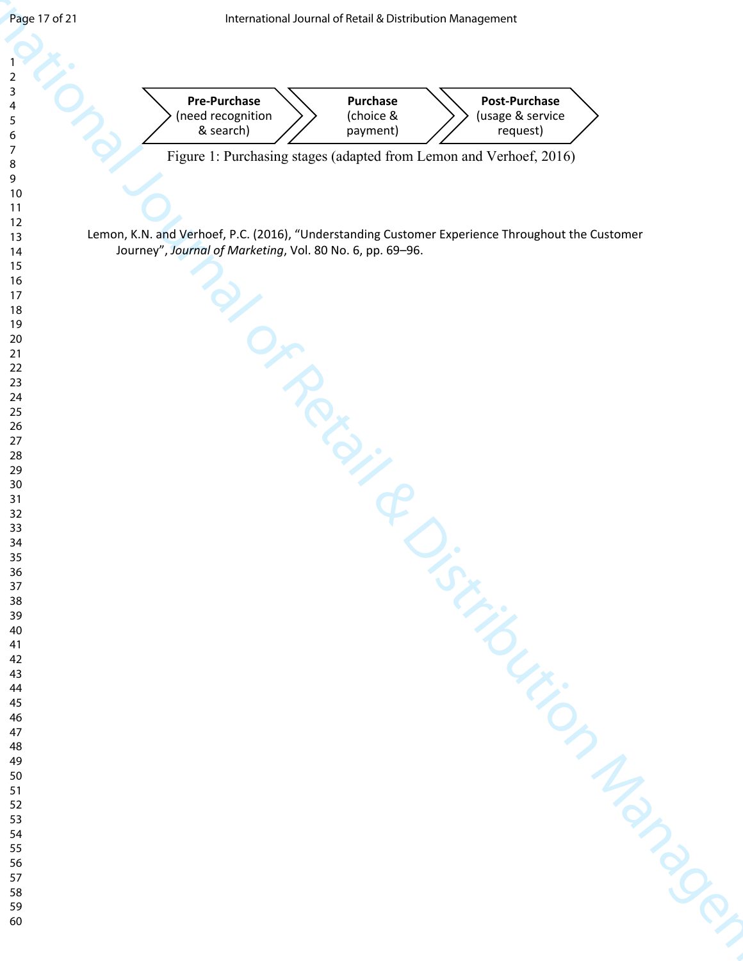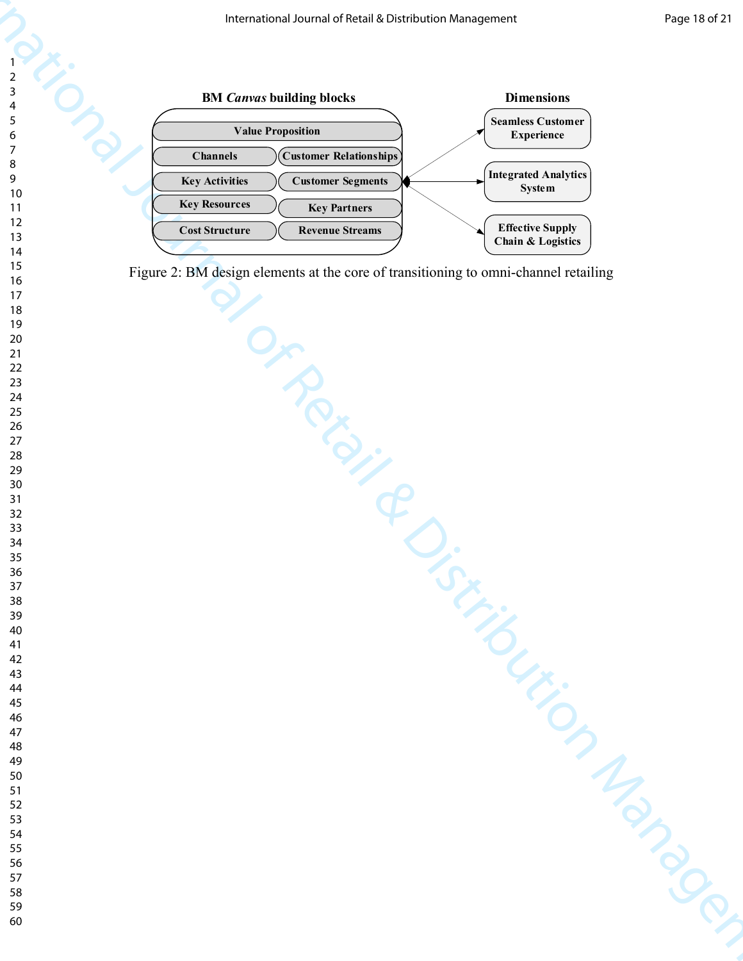

Figure 2: BM design elements at the core of transitioning to omni-channel retailing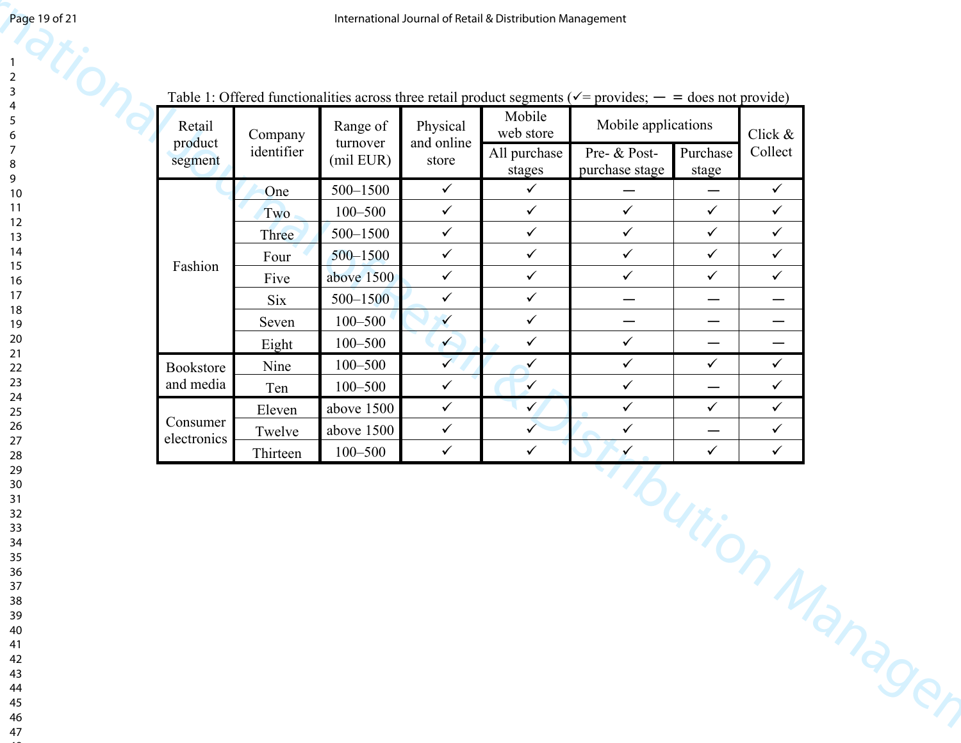| Page 19 of 21      |            |                       |                     | International Journal of Retail & Distribution Management |                                                                                                                        |                          |                          |
|--------------------|------------|-----------------------|---------------------|-----------------------------------------------------------|------------------------------------------------------------------------------------------------------------------------|--------------------------|--------------------------|
|                    |            |                       |                     |                                                           |                                                                                                                        |                          |                          |
|                    |            |                       |                     |                                                           |                                                                                                                        |                          |                          |
|                    |            |                       |                     |                                                           | Table 1: Offered functionalities across three retail product segments ( $\checkmark$ = provides; - = does not provide) |                          |                          |
| Retail             | Company    | Range of              | Physical            | Mobile<br>web store                                       | Mobile applications                                                                                                    |                          | Click &                  |
| product<br>segment | identifier | turnover<br>(mil EUR) | and online<br>store | All purchase<br>stages                                    | Pre- & Post-<br>purchase stage                                                                                         | Purchase<br>stage        | Collect                  |
|                    | One        | 500-1500              | $\checkmark$        | $\checkmark$                                              | $\qquad \qquad -$                                                                                                      | $\overline{\phantom{m}}$ | $\checkmark$             |
|                    | Two        | $100 - 500$           | $\checkmark$        | $\checkmark$                                              | $\checkmark$                                                                                                           | $\checkmark$             | $\checkmark$             |
|                    | Three      | 500-1500              | $\checkmark$        | $\checkmark$                                              | $\checkmark$                                                                                                           | $\checkmark$             | $\checkmark$             |
|                    | Four       | 500-1500              | $\checkmark$        | $\checkmark$                                              | $\checkmark$                                                                                                           | $\checkmark$             | $\checkmark$             |
| Fashion            | Five       | above 1500            | $\checkmark$        | $\checkmark$                                              | $\checkmark$                                                                                                           | $\checkmark$             | $\checkmark$             |
|                    | <b>Six</b> | 500-1500              | $\checkmark$        | $\checkmark$                                              | $\qquad \qquad$                                                                                                        | $\hspace{0.05cm}$        | $\overline{\phantom{m}}$ |
|                    | Seven      | $100 - 500$           | $\checkmark$        | $\checkmark$                                              | $\qquad \qquad -$                                                                                                      | $\hspace{0.05cm}$        | $\overline{\phantom{m}}$ |
|                    | Eight      | $100 - 500$           | $\checkmark$        | $\checkmark$                                              | $\checkmark$                                                                                                           | $\qquad \qquad -$        | $\overline{\phantom{m}}$ |
| Bookstore          | Nine       | $100 - 500$           | $\sqrt{2}$          | $\checkmark$                                              | $\checkmark$                                                                                                           | $\checkmark$             | $\checkmark$             |
| and media          | Ten        | $100 - 500$           | $\checkmark$        | $\checkmark$                                              | $\checkmark$                                                                                                           | $\qquad \qquad -$        | $\checkmark$             |
|                    | Eleven     | above 1500            | $\checkmark$        | $\checkmark$                                              | $\checkmark$                                                                                                           | $\checkmark$             | $\checkmark$             |
| Consumer           | Twelve     | above 1500            | $\checkmark$        | $\checkmark$                                              | $\checkmark$                                                                                                           | $\overline{\phantom{m}}$ | $\checkmark$             |
| electronics        | Thirteen   | $100 - 500$           | $\checkmark$        | $\checkmark$                                              | ✓                                                                                                                      | $\checkmark$             | $\checkmark$             |
|                    |            |                       |                     |                                                           | TIBUTION MANAGEM                                                                                                       |                          |                          |

| Table 1: Offered functionalities across three retail product segments ( $\checkmark$ = provides; - = does not provide) |  |  |  |
|------------------------------------------------------------------------------------------------------------------------|--|--|--|
|------------------------------------------------------------------------------------------------------------------------|--|--|--|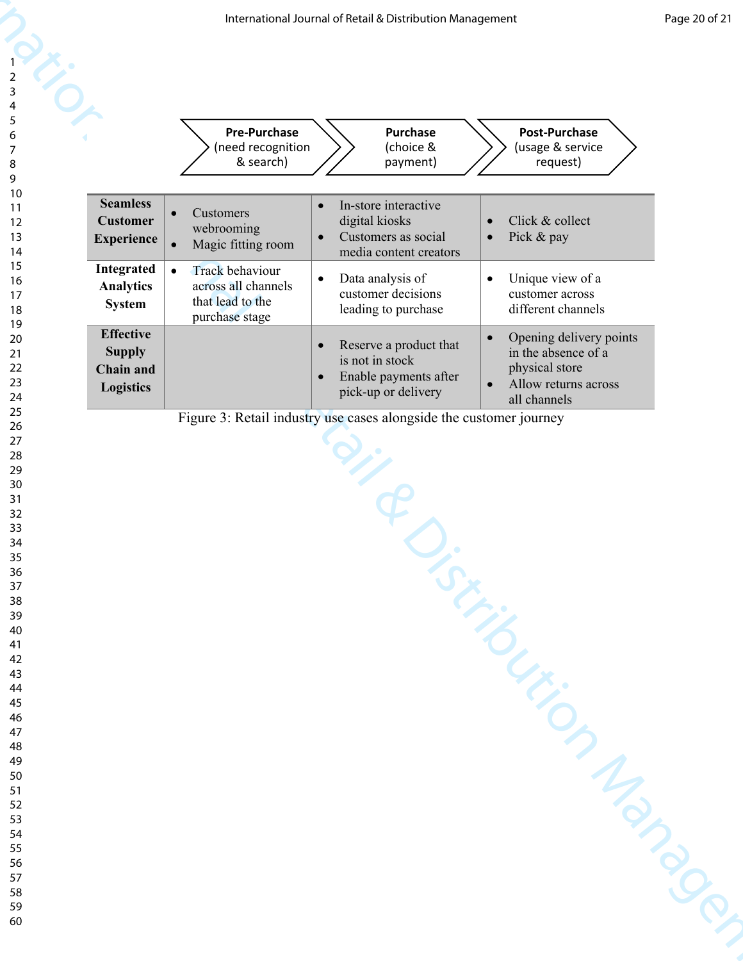| <b>Pre-Purchase</b><br><b>Purchase</b><br><b>Post-Purchase</b><br>(need recognition<br>(usage & service<br>(choice &<br>& search)<br>payment)<br>request)<br><b>Seamless</b><br>In-store interactive<br>$\bullet$<br>Customers<br>$\bullet$<br>Click & collect<br>digital kiosks<br><b>Customer</b><br>$\bullet$<br>webrooming<br>Customers as social<br>Pick & pay<br>$\bullet$<br><b>Experience</b><br>$\bullet$<br>Magic fitting room<br>$\bullet$<br>media content creators<br>Integrated<br><b>Track behaviour</b><br>$\bullet$<br>Data analysis of<br>Unique view of a<br>$\bullet$<br>$\bullet$<br><b>Analytics</b><br>across all channels<br>customer decisions<br>customer across<br>that lead to the<br><b>System</b><br>leading to purchase<br>different channels<br>purchase stage<br><b>Effective</b><br>Opening delivery points<br>$\bullet$<br>Reserve a product that<br>$\bullet$<br>in the absence of a<br><b>Supply</b><br>is not in stock<br>physical store<br>Chain and<br>Enable payments after<br>$\bullet$<br>Allow returns across<br>$\bullet$<br>Logistics<br>pick-up or delivery<br>all channels<br>Figure 3: Retail industry use cases alongside the customer journey<br>$O_{\hat{c}}$<br>J.K. Ley<br>I Mary |  | International Journal of Retail & Distribution Management |  |
|-----------------------------------------------------------------------------------------------------------------------------------------------------------------------------------------------------------------------------------------------------------------------------------------------------------------------------------------------------------------------------------------------------------------------------------------------------------------------------------------------------------------------------------------------------------------------------------------------------------------------------------------------------------------------------------------------------------------------------------------------------------------------------------------------------------------------------------------------------------------------------------------------------------------------------------------------------------------------------------------------------------------------------------------------------------------------------------------------------------------------------------------------------------------------------------------------------------------------------------------|--|-----------------------------------------------------------|--|
|                                                                                                                                                                                                                                                                                                                                                                                                                                                                                                                                                                                                                                                                                                                                                                                                                                                                                                                                                                                                                                                                                                                                                                                                                                         |  |                                                           |  |
|                                                                                                                                                                                                                                                                                                                                                                                                                                                                                                                                                                                                                                                                                                                                                                                                                                                                                                                                                                                                                                                                                                                                                                                                                                         |  |                                                           |  |
|                                                                                                                                                                                                                                                                                                                                                                                                                                                                                                                                                                                                                                                                                                                                                                                                                                                                                                                                                                                                                                                                                                                                                                                                                                         |  |                                                           |  |
|                                                                                                                                                                                                                                                                                                                                                                                                                                                                                                                                                                                                                                                                                                                                                                                                                                                                                                                                                                                                                                                                                                                                                                                                                                         |  |                                                           |  |
|                                                                                                                                                                                                                                                                                                                                                                                                                                                                                                                                                                                                                                                                                                                                                                                                                                                                                                                                                                                                                                                                                                                                                                                                                                         |  |                                                           |  |